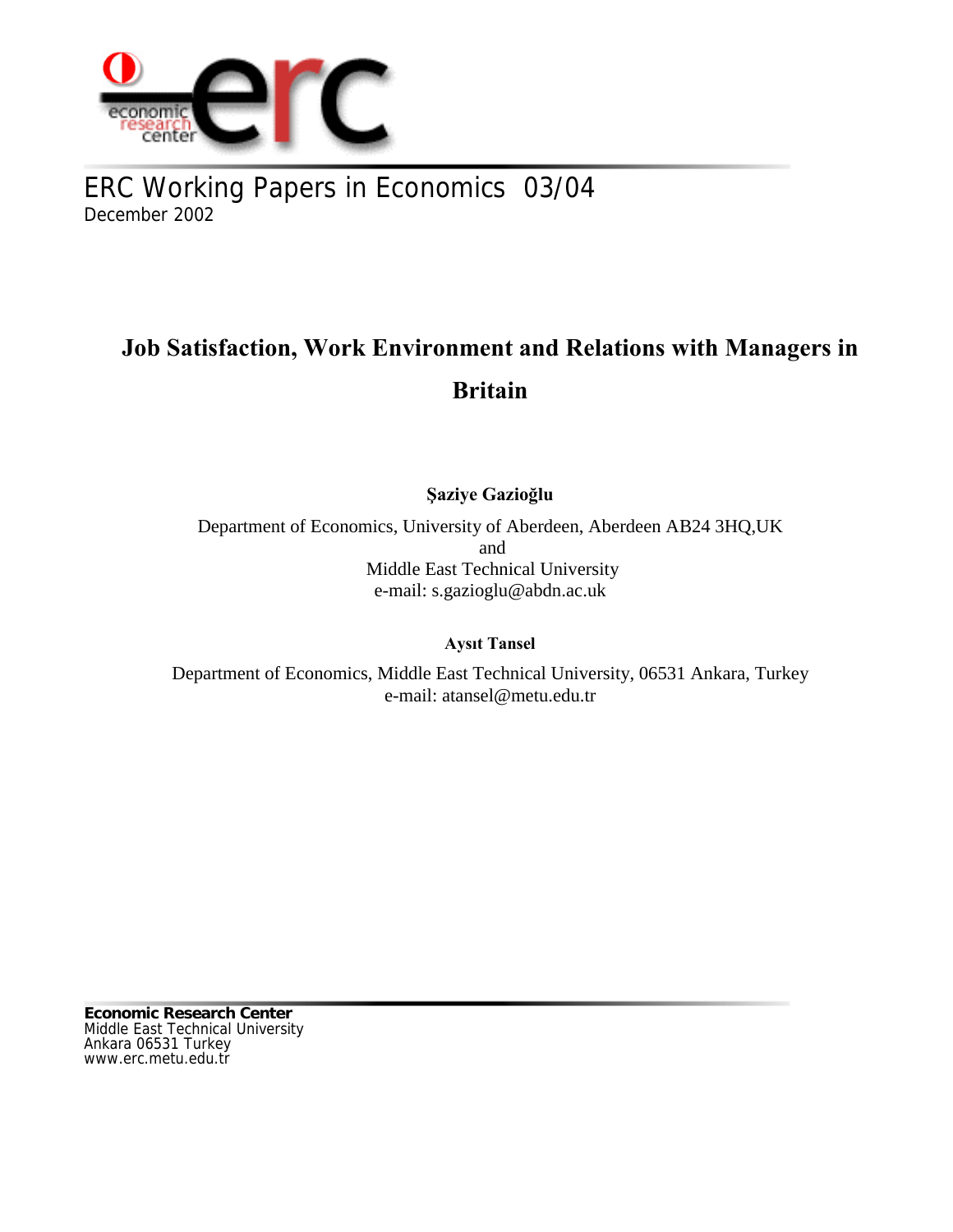

ERC Working Papers in Economics 03/04 December 2002

# **Job Satisfaction, Work Environment and Relations with Managers in Britain**

**Şaziye Gazioğlu**

Department of Economics, University of Aberdeen, Aberdeen AB24 3HQ,UK and Middle East Technical University e-mail: s.gazioglu@abdn.ac.uk

**Aysıt Tansel**

Department of Economics, Middle East Technical University, 06531 Ankara, Turkey e-mail: atansel@metu.edu.tr

**Economic Research Center** Middle East Technical University Ankara 06531 Turkey www.erc.metu.edu.tr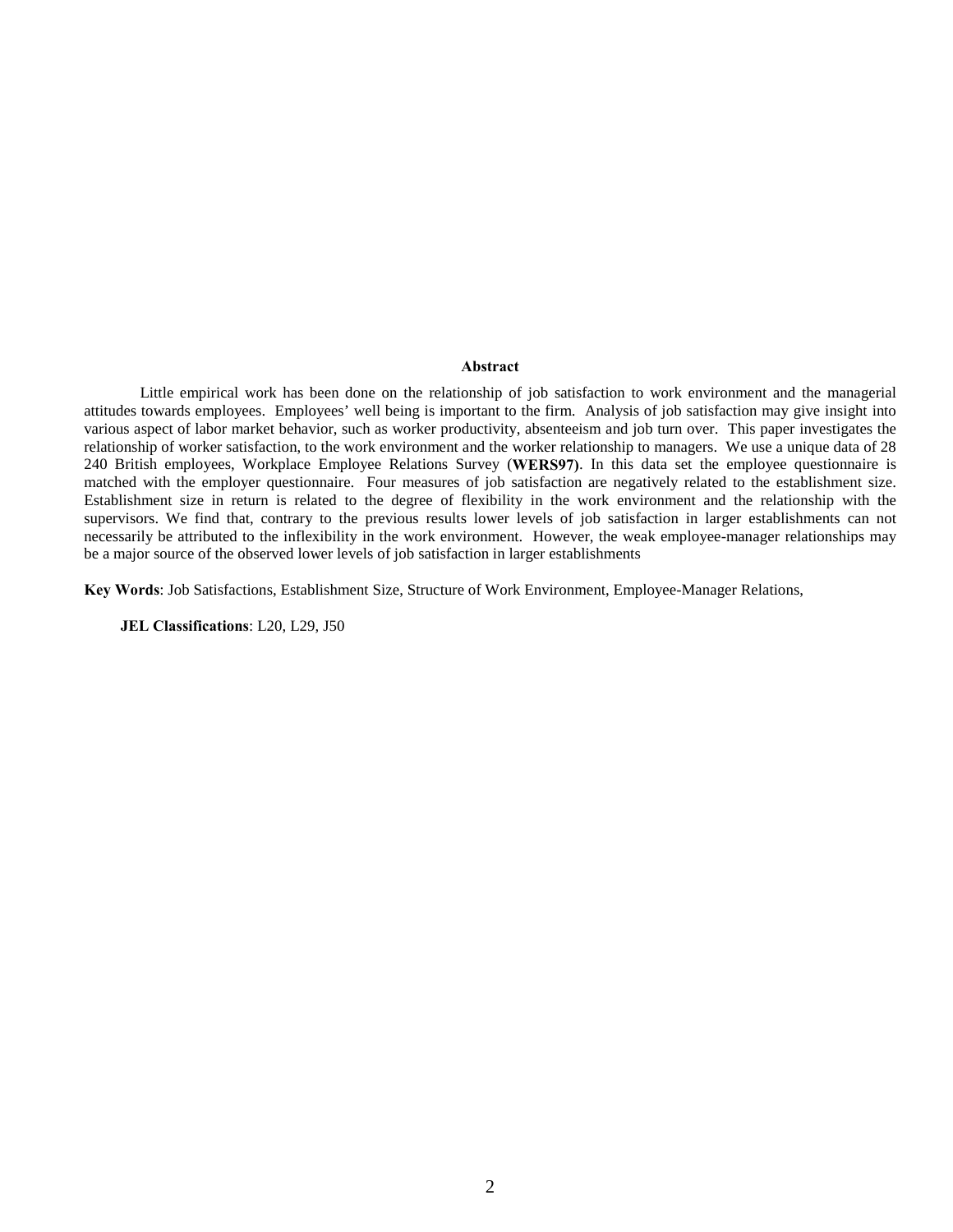#### **Abstract**

Little empirical work has been done on the relationship of job satisfaction to work environment and the managerial attitudes towards employees. Employees' well being is important to the firm. Analysis of job satisfaction may give insight into various aspect of labor market behavior, such as worker productivity, absenteeism and job turn over. This paper investigates the relationship of worker satisfaction, to the work environment and the worker relationship to managers. We use a unique data of 28 240 British employees, Workplace Employee Relations Survey (**WERS97)**. In this data set the employee questionnaire is matched with the employer questionnaire. Four measures of job satisfaction are negatively related to the establishment size. Establishment size in return is related to the degree of flexibility in the work environment and the relationship with the supervisors. We find that, contrary to the previous results lower levels of job satisfaction in larger establishments can not necessarily be attributed to the inflexibility in the work environment. However, the weak employee-manager relationships may be a major source of the observed lower levels of job satisfaction in larger establishments

**Key Words**: Job Satisfactions, Establishment Size, Structure of Work Environment, Employee-Manager Relations,

**JEL Classifications**: L20, L29, J50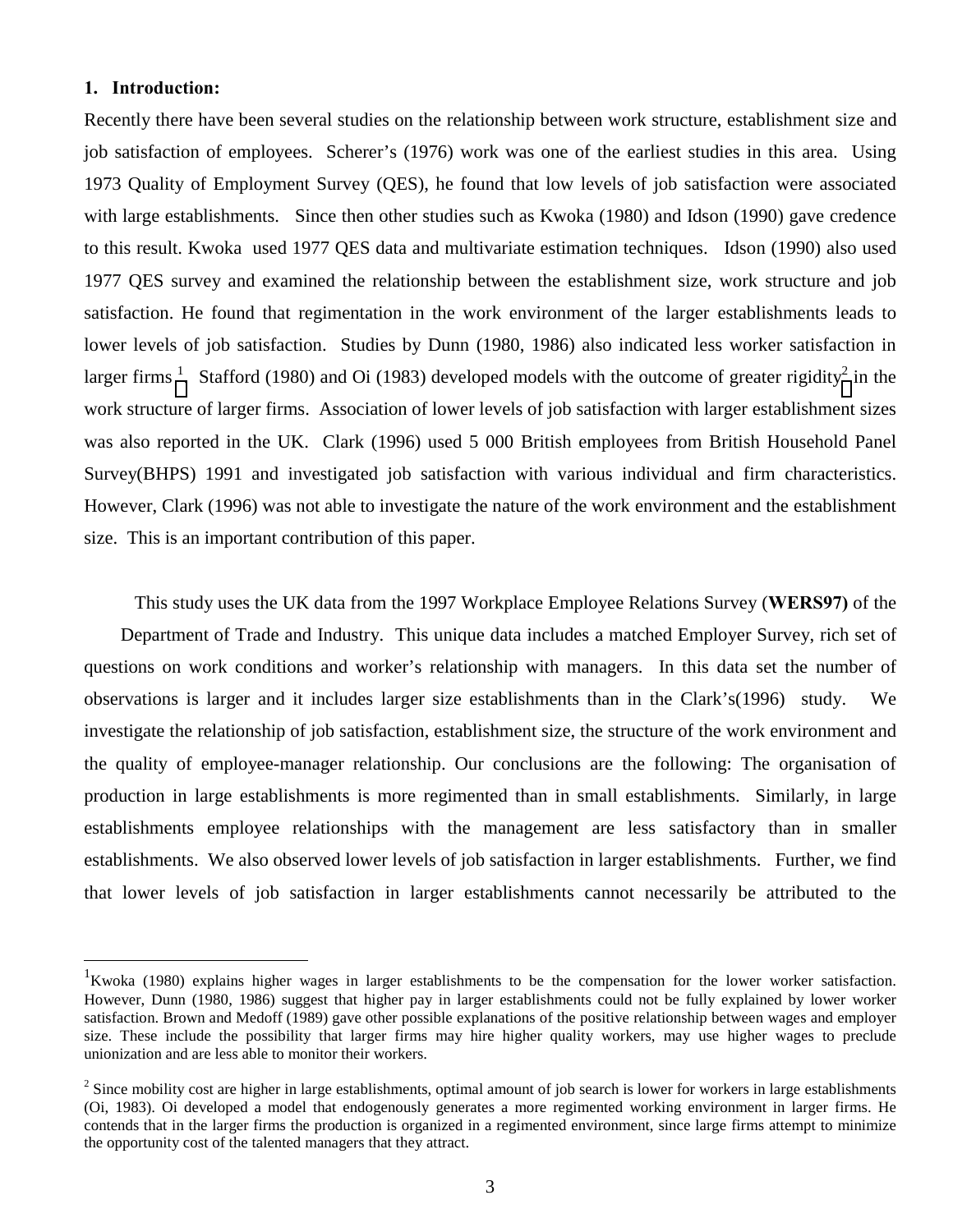### **1. Introduction:**

 $\overline{a}$ 

Recently there have been several studies on the relationship between work structure, establishment size and job satisfaction of employees. Scherer's (1976) work was one of the earliest studies in this area. Using 1973 Quality of Employment Survey (QES), he found that low levels of job satisfaction were associated with large establishments. Since then other studies such as Kwoka (1980) and Idson (1990) gave credence to this result. Kwoka used 1977 QES data and multivariate estimation techniques. Idson (1990) also used 1977 QES survey and examined the relationship between the establishment size, work structure and job satisfaction. He found that regimentation in the work environment of the larger establishments leads to lower levels of job satisfaction. Studies by Dunn (1980, 1986) also indicated less worker satisfaction in larger firms <sup>1</sup>. Stafford (1980) and Oi (1983) developed models with the outcome of greater rigidity<sup>2</sup> in the work structure of larger firms. Association of lower levels of job satisfaction with larger establishment sizes was also reported in the UK. Clark (1996) used 5 000 British employees from British Household Panel Survey(BHPS) 1991 and investigated job satisfaction with various individual and firm characteristics. However, Clark (1996) was not able to investigate the nature of the work environment and the establishment size. This is an important contribution of this paper.

 This study uses the UK data from the 1997 Workplace Employee Relations Survey (**WERS97)** of the Department of Trade and Industry. This unique data includes a matched Employer Survey, rich set of questions on work conditions and worker's relationship with managers. In this data set the number of observations is larger and it includes larger size establishments than in the Clark's(1996) study. We investigate the relationship of job satisfaction, establishment size, the structure of the work environment and the quality of employee-manager relationship. Our conclusions are the following: The organisation of production in large establishments is more regimented than in small establishments. Similarly, in large establishments employee relationships with the management are less satisfactory than in smaller establishments. We also observed lower levels of job satisfaction in larger establishments. Further, we find that lower levels of job satisfaction in larger establishments cannot necessarily be attributed to the

<sup>&</sup>lt;sup>1</sup>Kwoka (1980) explains higher wages in larger establishments to be the compensation for the lower worker satisfaction. However, Dunn (1980, 1986) suggest that higher pay in larger establishments could not be fully explained by lower worker satisfaction. Brown and Medoff (1989) gave other possible explanations of the positive relationship between wages and employer size. These include the possibility that larger firms may hire higher quality workers, may use higher wages to preclude unionization and are less able to monitor their workers.

 $2^{2}$  Since mobility cost are higher in large establishments, optimal amount of job search is lower for workers in large establishments (Oi, 1983). Oi developed a model that endogenously generates a more regimented working environment in larger firms. He contends that in the larger firms the production is organized in a regimented environment, since large firms attempt to minimize the opportunity cost of the talented managers that they attract.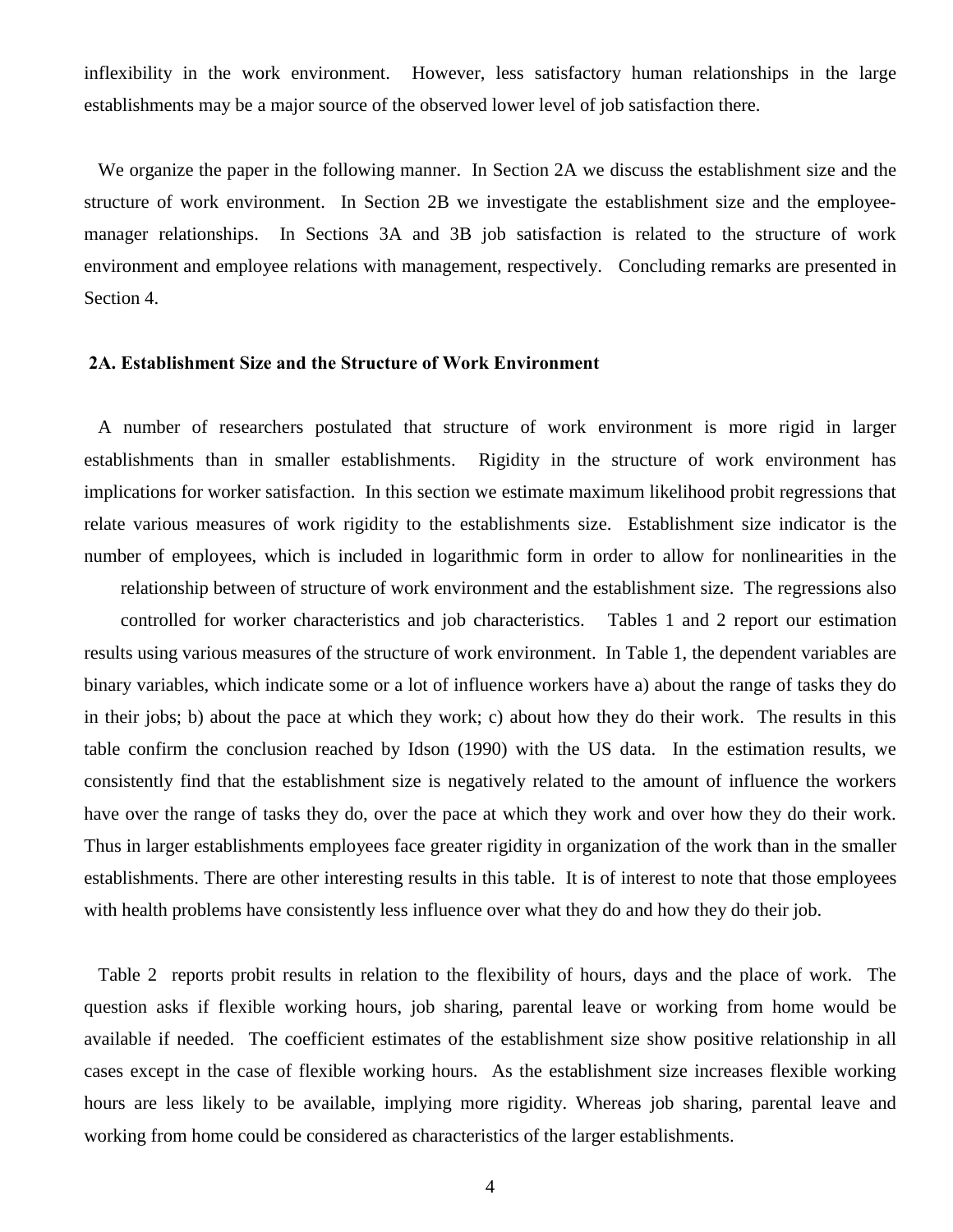inflexibility in the work environment. However, less satisfactory human relationships in the large establishments may be a major source of the observed lower level of job satisfaction there.

 We organize the paper in the following manner. In Section 2A we discuss the establishment size and the structure of work environment. In Section 2B we investigate the establishment size and the employeemanager relationships. In Sections 3A and 3B job satisfaction is related to the structure of work environment and employee relations with management, respectively. Concluding remarks are presented in Section 4.

### **2A. Establishment Size and the Structure of Work Environment**

 A number of researchers postulated that structure of work environment is more rigid in larger establishments than in smaller establishments. Rigidity in the structure of work environment has implications for worker satisfaction. In this section we estimate maximum likelihood probit regressions that relate various measures of work rigidity to the establishments size. Establishment size indicator is the number of employees, which is included in logarithmic form in order to allow for nonlinearities in the

relationship between of structure of work environment and the establishment size. The regressions also controlled for worker characteristics and job characteristics. Tables 1 and 2 report our estimation results using various measures of the structure of work environment. In Table 1, the dependent variables are binary variables, which indicate some or a lot of influence workers have a) about the range of tasks they do in their jobs; b) about the pace at which they work; c) about how they do their work. The results in this table confirm the conclusion reached by Idson (1990) with the US data. In the estimation results, we consistently find that the establishment size is negatively related to the amount of influence the workers have over the range of tasks they do, over the pace at which they work and over how they do their work. Thus in larger establishments employees face greater rigidity in organization of the work than in the smaller establishments. There are other interesting results in this table. It is of interest to note that those employees with health problems have consistently less influence over what they do and how they do their job.

 Table 2 reports probit results in relation to the flexibility of hours, days and the place of work. The question asks if flexible working hours, job sharing, parental leave or working from home would be available if needed. The coefficient estimates of the establishment size show positive relationship in all cases except in the case of flexible working hours. As the establishment size increases flexible working hours are less likely to be available, implying more rigidity. Whereas job sharing, parental leave and working from home could be considered as characteristics of the larger establishments.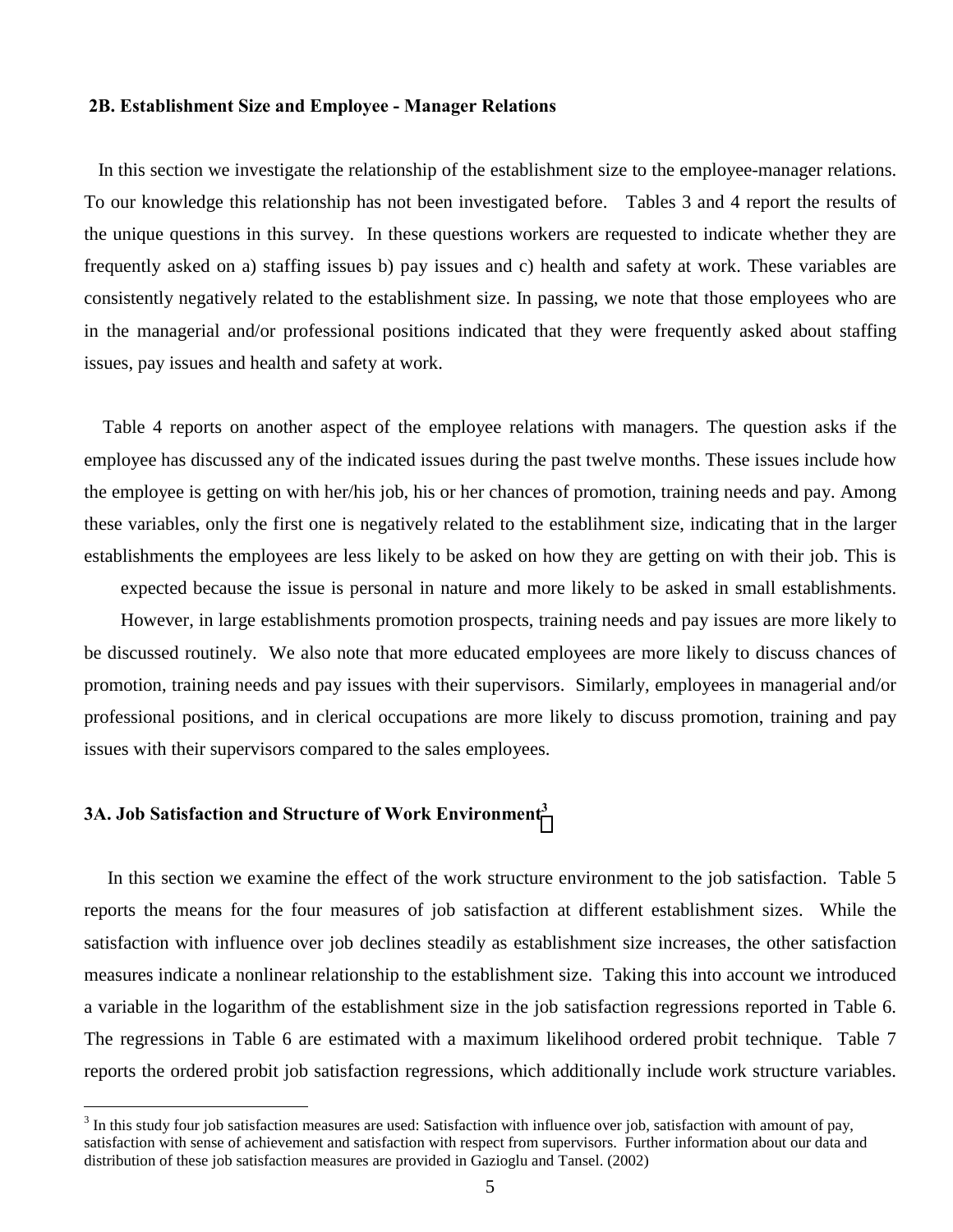### **2B. Establishment Size and Employee - Manager Relations**

 In this section we investigate the relationship of the establishment size to the employee-manager relations. To our knowledge this relationship has not been investigated before. Tables 3 and 4 report the results of the unique questions in this survey. In these questions workers are requested to indicate whether they are frequently asked on a) staffing issues b) pay issues and c) health and safety at work. These variables are consistently negatively related to the establishment size. In passing, we note that those employees who are in the managerial and/or professional positions indicated that they were frequently asked about staffing issues, pay issues and health and safety at work.

 Table 4 reports on another aspect of the employee relations with managers. The question asks if the employee has discussed any of the indicated issues during the past twelve months. These issues include how the employee is getting on with her/his job, his or her chances of promotion, training needs and pay. Among these variables, only the first one is negatively related to the establihment size, indicating that in the larger establishments the employees are less likely to be asked on how they are getting on with their job. This is

expected because the issue is personal in nature and more likely to be asked in small establishments. However, in large establishments promotion prospects, training needs and pay issues are more likely to be discussed routinely. We also note that more educated employees are more likely to discuss chances of promotion, training needs and pay issues with their supervisors. Similarly, employees in managerial and/or professional positions, and in clerical occupations are more likely to discuss promotion, training and pay issues with their supervisors compared to the sales employees.

### **3A. Job Satisfaction and Structure of Work Environment3**

 $\overline{a}$ 

 In this section we examine the effect of the work structure environment to the job satisfaction. Table 5 reports the means for the four measures of job satisfaction at different establishment sizes. While the satisfaction with influence over job declines steadily as establishment size increases, the other satisfaction measures indicate a nonlinear relationship to the establishment size. Taking this into account we introduced a variable in the logarithm of the establishment size in the job satisfaction regressions reported in Table 6. The regressions in Table 6 are estimated with a maximum likelihood ordered probit technique. Table 7 reports the ordered probit job satisfaction regressions, which additionally include work structure variables.

 $3$  In this study four job satisfaction measures are used: Satisfaction with influence over job, satisfaction with amount of pay, satisfaction with sense of achievement and satisfaction with respect from supervisors. Further information about our data and distribution of these job satisfaction measures are provided in Gazioglu and Tansel. (2002)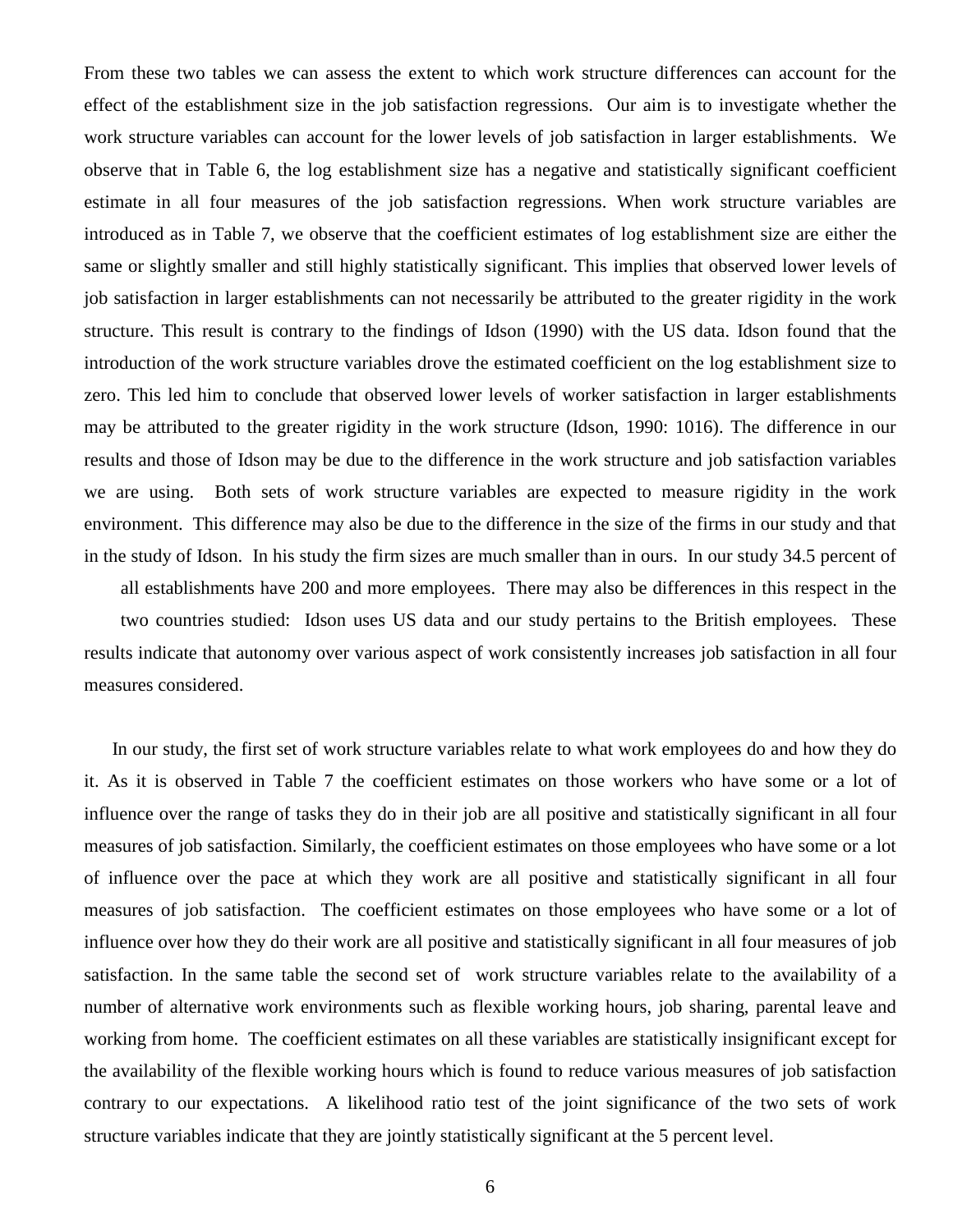From these two tables we can assess the extent to which work structure differences can account for the effect of the establishment size in the job satisfaction regressions. Our aim is to investigate whether the work structure variables can account for the lower levels of job satisfaction in larger establishments. We observe that in Table 6, the log establishment size has a negative and statistically significant coefficient estimate in all four measures of the job satisfaction regressions. When work structure variables are introduced as in Table 7, we observe that the coefficient estimates of log establishment size are either the same or slightly smaller and still highly statistically significant. This implies that observed lower levels of job satisfaction in larger establishments can not necessarily be attributed to the greater rigidity in the work structure. This result is contrary to the findings of Idson (1990) with the US data. Idson found that the introduction of the work structure variables drove the estimated coefficient on the log establishment size to zero. This led him to conclude that observed lower levels of worker satisfaction in larger establishments may be attributed to the greater rigidity in the work structure (Idson, 1990: 1016). The difference in our results and those of Idson may be due to the difference in the work structure and job satisfaction variables we are using. Both sets of work structure variables are expected to measure rigidity in the work environment. This difference may also be due to the difference in the size of the firms in our study and that in the study of Idson. In his study the firm sizes are much smaller than in ours. In our study 34.5 percent of

all establishments have 200 and more employees. There may also be differences in this respect in the two countries studied: Idson uses US data and our study pertains to the British employees. These results indicate that autonomy over various aspect of work consistently increases job satisfaction in all four measures considered.

 In our study, the first set of work structure variables relate to what work employees do and how they do it. As it is observed in Table 7 the coefficient estimates on those workers who have some or a lot of influence over the range of tasks they do in their job are all positive and statistically significant in all four measures of job satisfaction. Similarly, the coefficient estimates on those employees who have some or a lot of influence over the pace at which they work are all positive and statistically significant in all four measures of job satisfaction. The coefficient estimates on those employees who have some or a lot of influence over how they do their work are all positive and statistically significant in all four measures of job satisfaction. In the same table the second set of work structure variables relate to the availability of a number of alternative work environments such as flexible working hours, job sharing, parental leave and working from home. The coefficient estimates on all these variables are statistically insignificant except for the availability of the flexible working hours which is found to reduce various measures of job satisfaction contrary to our expectations. A likelihood ratio test of the joint significance of the two sets of work structure variables indicate that they are jointly statistically significant at the 5 percent level.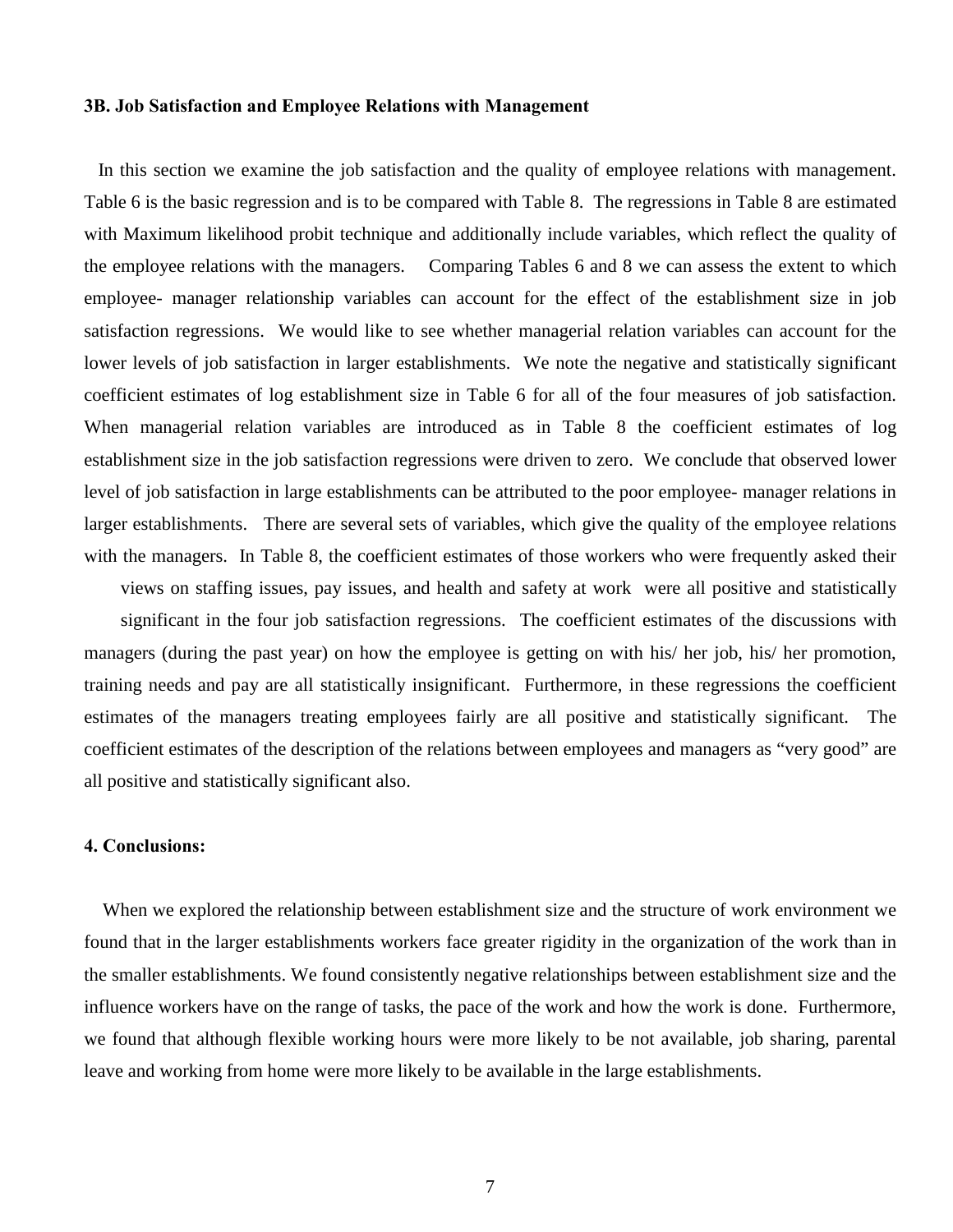### **3B. Job Satisfaction and Employee Relations with Management**

 In this section we examine the job satisfaction and the quality of employee relations with management. Table 6 is the basic regression and is to be compared with Table 8. The regressions in Table 8 are estimated with Maximum likelihood probit technique and additionally include variables, which reflect the quality of the employee relations with the managers. Comparing Tables 6 and 8 we can assess the extent to which employee- manager relationship variables can account for the effect of the establishment size in job satisfaction regressions. We would like to see whether managerial relation variables can account for the lower levels of job satisfaction in larger establishments. We note the negative and statistically significant coefficient estimates of log establishment size in Table 6 for all of the four measures of job satisfaction. When managerial relation variables are introduced as in Table 8 the coefficient estimates of log establishment size in the job satisfaction regressions were driven to zero. We conclude that observed lower level of job satisfaction in large establishments can be attributed to the poor employee- manager relations in larger establishments. There are several sets of variables, which give the quality of the employee relations with the managers. In Table 8, the coefficient estimates of those workers who were frequently asked their

views on staffing issues, pay issues, and health and safety at work were all positive and statistically significant in the four job satisfaction regressions. The coefficient estimates of the discussions with managers (during the past year) on how the employee is getting on with his/ her job, his/ her promotion, training needs and pay are all statistically insignificant. Furthermore, in these regressions the coefficient estimates of the managers treating employees fairly are all positive and statistically significant. The coefficient estimates of the description of the relations between employees and managers as "very good" are all positive and statistically significant also.

### **4. Conclusions:**

 When we explored the relationship between establishment size and the structure of work environment we found that in the larger establishments workers face greater rigidity in the organization of the work than in the smaller establishments. We found consistently negative relationships between establishment size and the influence workers have on the range of tasks, the pace of the work and how the work is done. Furthermore, we found that although flexible working hours were more likely to be not available, job sharing, parental leave and working from home were more likely to be available in the large establishments.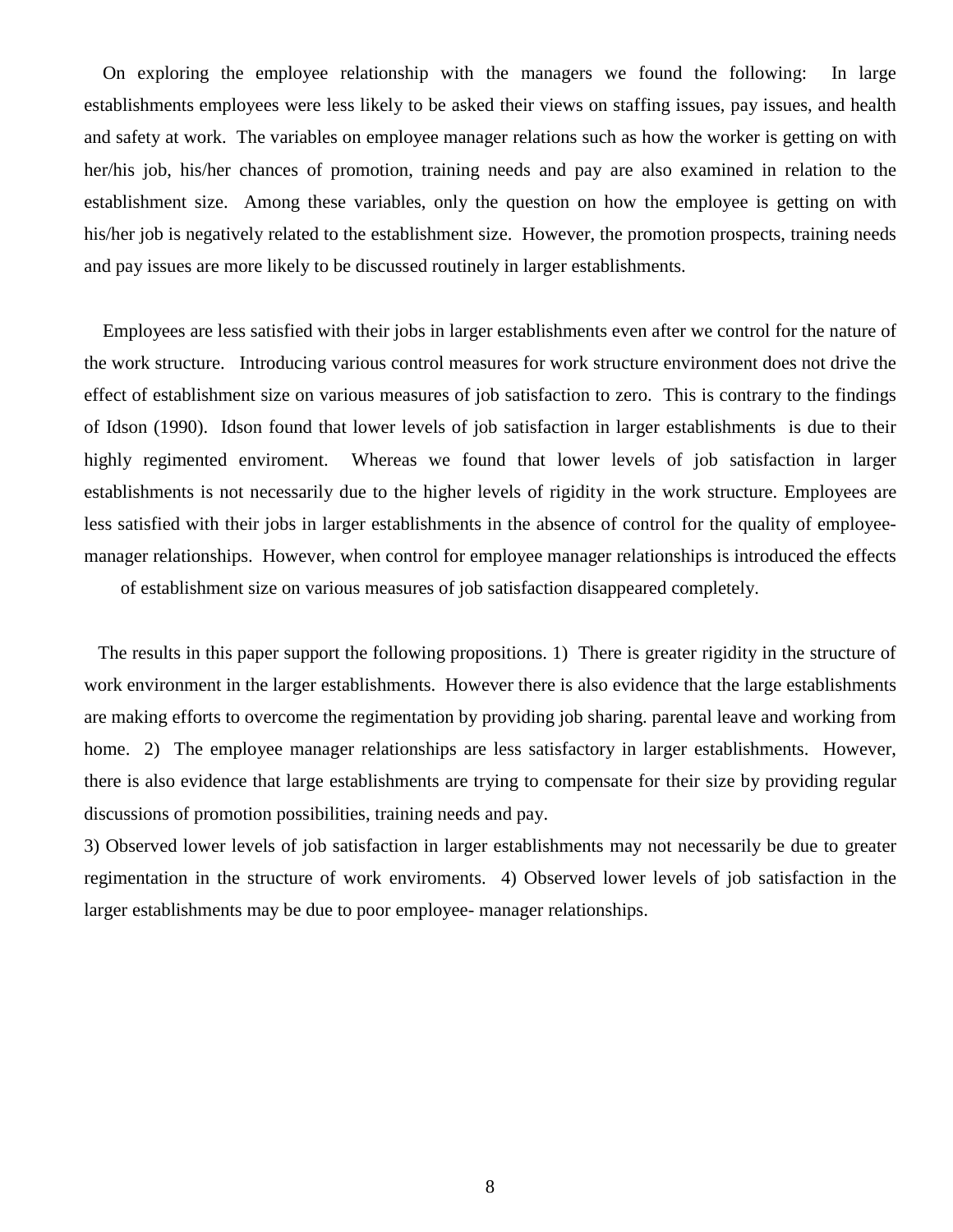On exploring the employee relationship with the managers we found the following: In large establishments employees were less likely to be asked their views on staffing issues, pay issues, and health and safety at work. The variables on employee manager relations such as how the worker is getting on with her/his job, his/her chances of promotion, training needs and pay are also examined in relation to the establishment size. Among these variables, only the question on how the employee is getting on with his/her job is negatively related to the establishment size. However, the promotion prospects, training needs and pay issues are more likely to be discussed routinely in larger establishments.

 Employees are less satisfied with their jobs in larger establishments even after we control for the nature of the work structure. Introducing various control measures for work structure environment does not drive the effect of establishment size on various measures of job satisfaction to zero. This is contrary to the findings of Idson (1990). Idson found that lower levels of job satisfaction in larger establishments is due to their highly regimented enviroment. Whereas we found that lower levels of job satisfaction in larger establishments is not necessarily due to the higher levels of rigidity in the work structure. Employees are less satisfied with their jobs in larger establishments in the absence of control for the quality of employeemanager relationships. However, when control for employee manager relationships is introduced the effects

of establishment size on various measures of job satisfaction disappeared completely.

 The results in this paper support the following propositions. 1) There is greater rigidity in the structure of work environment in the larger establishments. However there is also evidence that the large establishments are making efforts to overcome the regimentation by providing job sharing. parental leave and working from home. 2) The employee manager relationships are less satisfactory in larger establishments. However, there is also evidence that large establishments are trying to compensate for their size by providing regular discussions of promotion possibilities, training needs and pay.

3) Observed lower levels of job satisfaction in larger establishments may not necessarily be due to greater regimentation in the structure of work enviroments. 4) Observed lower levels of job satisfaction in the larger establishments may be due to poor employee- manager relationships.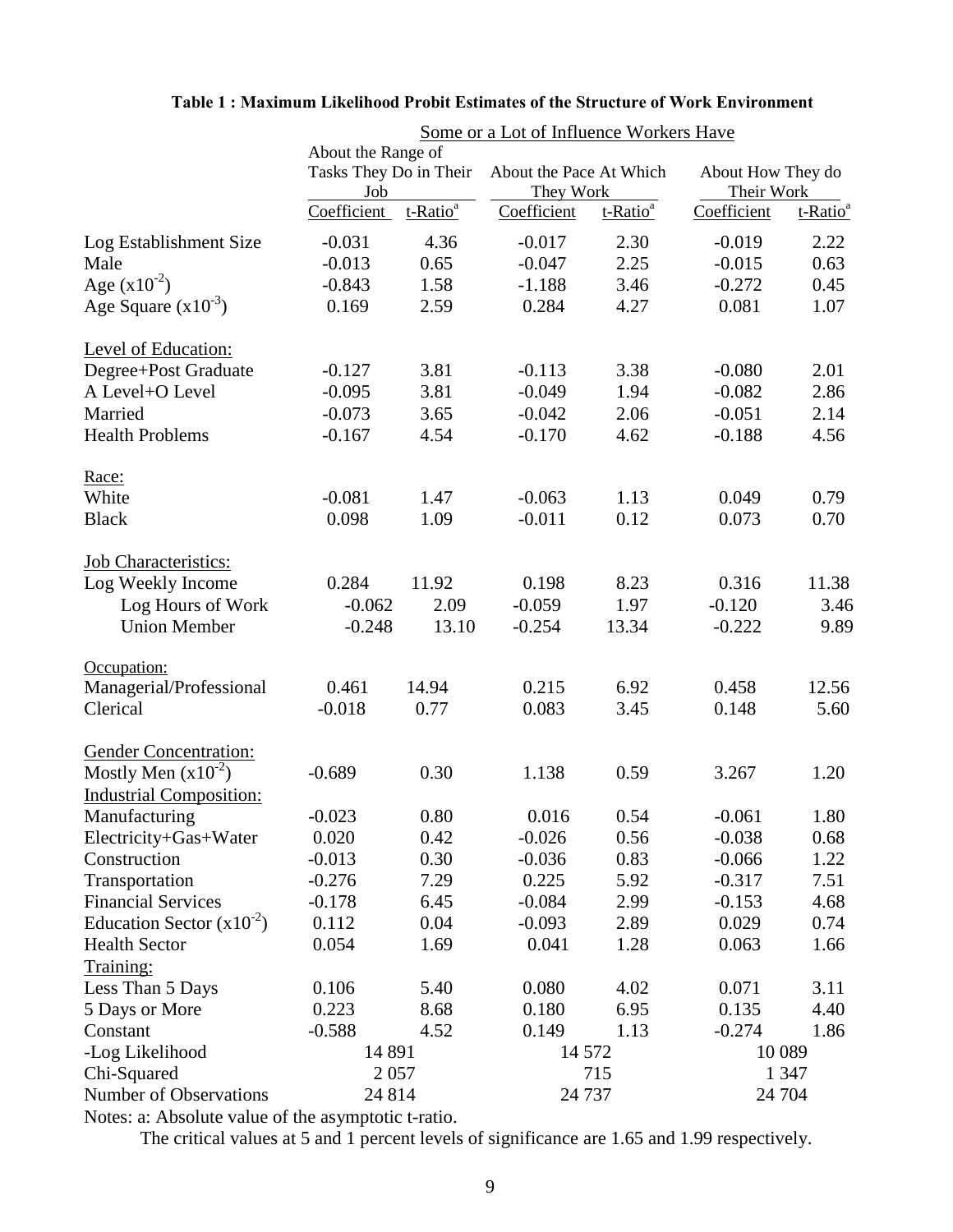|                                | About the Range of<br>Tasks They Do in Their |                      | About the Pace At Which |                      | About How They do |                      |  |
|--------------------------------|----------------------------------------------|----------------------|-------------------------|----------------------|-------------------|----------------------|--|
|                                | Job                                          |                      | They Work               |                      | Their Work        |                      |  |
|                                | Coefficient                                  | t-Ratio <sup>a</sup> | Coefficient             | t-Ratio <sup>a</sup> | Coefficient       | t-Ratio <sup>a</sup> |  |
| Log Establishment Size         | $-0.031$                                     | 4.36                 | $-0.017$                | 2.30                 | $-0.019$          | 2.22                 |  |
| Male                           | $-0.013$                                     | 0.65                 | $-0.047$                | 2.25                 | $-0.015$          | 0.63                 |  |
| Age $(x10^{-2})$               | $-0.843$                                     | 1.58                 | $-1.188$                | 3.46                 | $-0.272$          | 0.45                 |  |
| Age Square $(x10^{-3})$        | 0.169                                        | 2.59                 | 0.284                   | 4.27                 | 0.081             | 1.07                 |  |
| Level of Education:            |                                              |                      |                         |                      |                   |                      |  |
| Degree+Post Graduate           | $-0.127$                                     | 3.81                 | $-0.113$                | 3.38                 | $-0.080$          | 2.01                 |  |
| A Level+O Level                | $-0.095$                                     | 3.81                 | $-0.049$                | 1.94                 | $-0.082$          | 2.86                 |  |
| Married                        | $-0.073$                                     | 3.65                 | $-0.042$                | 2.06                 | $-0.051$          | 2.14                 |  |
| <b>Health Problems</b>         | $-0.167$                                     | 4.54                 | $-0.170$                | 4.62                 | $-0.188$          | 4.56                 |  |
| Race:                          |                                              |                      |                         |                      |                   |                      |  |
| White                          | $-0.081$                                     | 1.47                 | $-0.063$                | 1.13                 | 0.049             | 0.79                 |  |
| <b>Black</b>                   | 0.098                                        | 1.09                 | $-0.011$                | 0.12                 | 0.073             | 0.70                 |  |
| <b>Job Characteristics:</b>    |                                              |                      |                         |                      |                   |                      |  |
| Log Weekly Income              | 0.284                                        | 11.92                | 0.198                   | 8.23                 | 0.316             | 11.38                |  |
| Log Hours of Work              | $-0.062$                                     | 2.09                 | $-0.059$                | 1.97                 | $-0.120$          | 3.46                 |  |
| <b>Union Member</b>            | $-0.248$                                     | 13.10                | $-0.254$                | 13.34                | $-0.222$          | 9.89                 |  |
| Occupation:                    |                                              |                      |                         |                      |                   |                      |  |
| Managerial/Professional        | 0.461                                        | 14.94                | 0.215                   | 6.92                 | 0.458             | 12.56                |  |
| Clerical                       | $-0.018$                                     | 0.77                 | 0.083                   | 3.45                 | 0.148             | 5.60                 |  |
| <b>Gender Concentration:</b>   |                                              |                      |                         |                      |                   |                      |  |
| Mostly Men $(x10^{-2})$        | $-0.689$                                     | 0.30                 | 1.138                   | 0.59                 | 3.267             | 1.20                 |  |
| <b>Industrial Composition:</b> |                                              |                      |                         |                      |                   |                      |  |
| Manufacturing                  | $-0.023$                                     | 0.80                 | 0.016                   | 0.54                 | $-0.061$          | 1.80                 |  |
| Electricity+Gas+Water          | 0.020                                        | 0.42                 | $-0.026$                | 0.56                 | $-0.038$          | 0.68                 |  |
| Construction                   | $-0.013$                                     | 0.30                 | $-0.036$                | 0.83                 | $-0.066$          | 1.22                 |  |
| Transportation                 | $-0.276$                                     | 7.29                 | 0.225                   | 5.92                 | $-0.317$          | 7.51                 |  |
| <b>Financial Services</b>      | $-0.178$                                     | 6.45                 | $-0.084$                | 2.99                 | $-0.153$          | 4.68                 |  |
| Education Sector $(x10^{-2})$  | 0.112                                        | 0.04                 | $-0.093$                | 2.89                 | 0.029             | 0.74                 |  |
| <b>Health Sector</b>           | 0.054                                        | 1.69                 | 0.041                   | 1.28                 | 0.063             | 1.66                 |  |
| Training:                      |                                              |                      |                         |                      |                   |                      |  |
| Less Than 5 Days               | 0.106                                        | 5.40                 | 0.080                   | 4.02                 | 0.071             | 3.11                 |  |
| 5 Days or More                 | 0.223                                        | 8.68                 | 0.180                   | 6.95                 | 0.135             | 4.40                 |  |
| Constant                       | $-0.588$                                     | 4.52                 | 0.149                   | 1.13                 | $-0.274$          | 1.86                 |  |
| -Log Likelihood                | 14 891                                       |                      | 14 572                  |                      | 10 0 89           |                      |  |
| Chi-Squared                    | 2 0 5 7                                      |                      |                         | 715                  |                   | 1 3 4 7              |  |
| Number of Observations         | 24 814                                       |                      | 24 7 37                 |                      | 24 704            |                      |  |

### **Table 1 : Maximum Likelihood Probit Estimates of the Structure of Work Environment**

Some or a Lot of Influence Workers Have

Notes: a: Absolute value of the asymptotic t-ratio.

The critical values at 5 and 1 percent levels of significance are 1.65 and 1.99 respectively.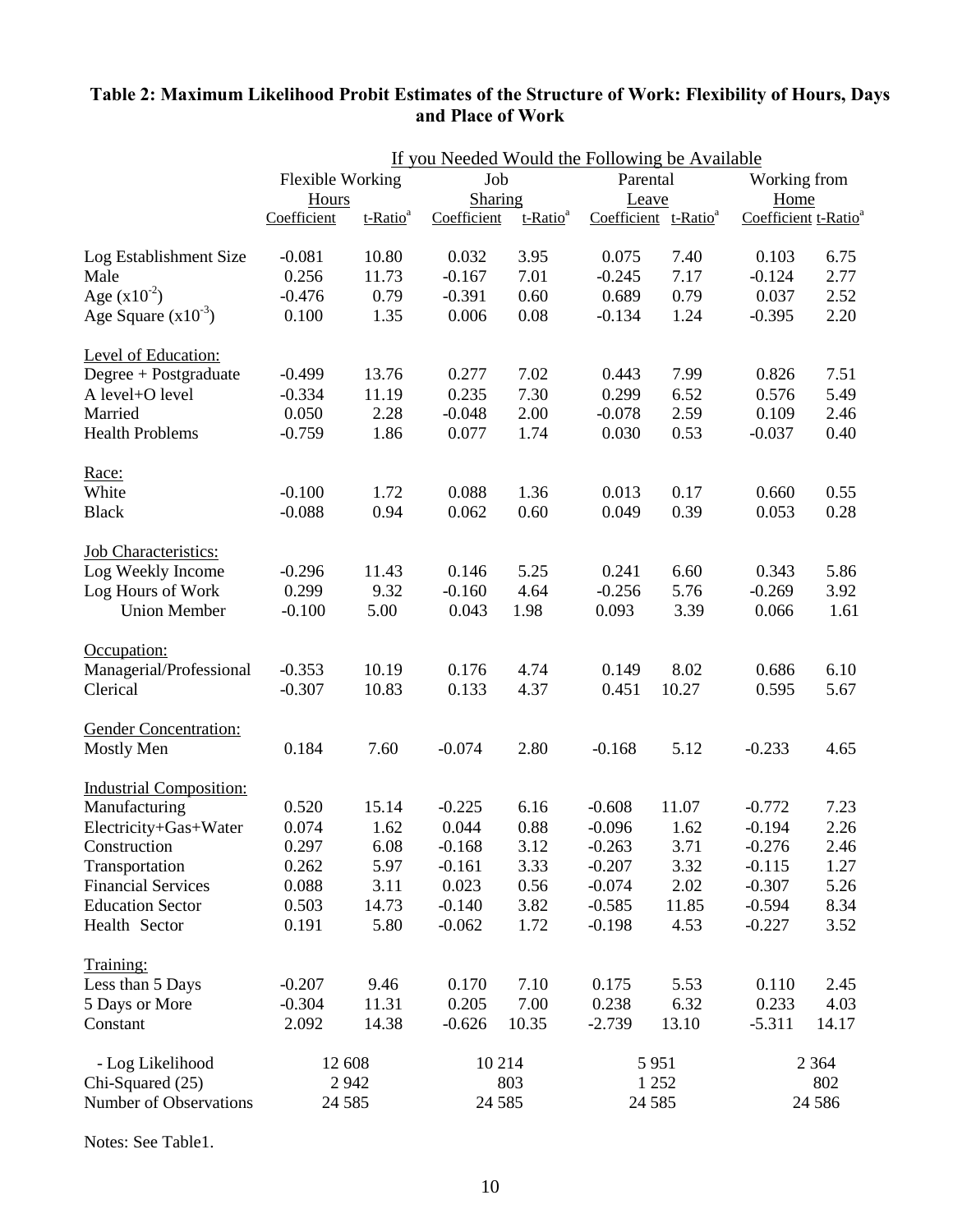# If you Needed Would the Following be Available Flexible Working  $Job$  Parental Working from Hours Sharing Leave Home Coefficient t-Ratio<sup>a</sup> Coefficient t-Ratio<sup>a</sup> Coefficient t-Ratio<sup>a</sup> Coefficient t-Ratio<sup>a</sup> Log Establishment Size -0.081 10.80 0.032 3.95 0.075 7.40 0.103 6.75 Male 6.256 11.73 -0.167 7.01 -0.245 7.17 -0.124 2.77 Age  $(x10^{-2})$  -0.476 0.79 -0.391 0.60 0.689 0.79 0.037 2.52 Age Square  $(x10^{-3})$  0.100 1.35 0.006 0.08 -0.134 1.24 -0.395 2.20 Level of Education: Degree + Postgraduate -0.499 13.76 0.277 7.02 0.443 7.99 0.826 7.51 A level+O level  $-0.334$  11.19  $0.235$  7.30  $0.299$  6.52  $0.576$  5.49 Married 0.050 2.28 -0.048 2.00 -0.078 2.59 0.109 2.46 Health Problems -0.759 1.86 0.077 1.74 0.030 0.53 -0.037 0.40 Race: White  $-0.100$   $1.72$   $0.088$   $1.36$   $0.013$   $0.17$   $0.660$   $0.55$ Black -0.088 0.94 0.062 0.60 0.049 0.39 0.053 0.28 Job Characteristics: Log Weekly Income -0.296 11.43 0.146 5.25 0.241 6.60 0.343 5.86<br>
Log Hours of Work 0.299 9.32 -0.160 4.64 -0.256 5.76 -0.269 3.92 Log Hours of Work 0.299 9.32 -0.160 4.64 -0.256 5.76 -0.269 3.92 Union Member -0.100 5.00 0.043 1.98 0.093 3.39 0.066 1.61 Occupation: Managerial/Professional -0.353 10.19 0.176 4.74 0.149 8.02 0.686 6.10 Clerical -0.307 10.83 0.133 4.37 0.451 10.27 0.595 5.67 Gender Concentration: Mostly Men 0.184 7.60 -0.074 2.80 -0.168 5.12 -0.233 4.65 Industrial Composition: Manufacturing 0.520 15.14 -0.225 6.16 -0.608 11.07 -0.772 7.23 Electricity+Gas+Water 0.074 1.62 0.044 0.88 -0.096 1.62 -0.194 2.26 Construction 0.297 6.08 -0.168 3.12 -0.263 3.71 -0.276 2.46 Transportation 0.262 5.97 -0.161 3.33 -0.207 3.32 -0.115 1.27 Financial Services 0.088 3.11 0.023 0.56 -0.074 2.02 -0.307 5.26 Education Sector 0.503 14.73 -0.140 3.82 -0.585 11.85 -0.594 8.34 Health Sector 0.191 5.80 -0.062 1.72 -0.198 4.53 -0.227 3.52 Training: Less than 5 Days -0.207 9.46 0.170 7.10 0.175 5.53 0.110 2.45 5 Days or More -0.304 11.31 0.205 7.00 0.238 6.32 0.233 4.03 Constant 2.092 14.38 -0.626 10.35 -2.739 13.10 -5.311 14.17 - Log Likelihood 12 608 10 214 5 951 2 364 Chi-Squared (25) 2 942 803 1 252 802 Number of Observations 24 585 24 585 24 585 24 586

### **Table 2: Maximum Likelihood Probit Estimates of the Structure of Work: Flexibility of Hours, Days and Place of Work**

Notes: See Table1.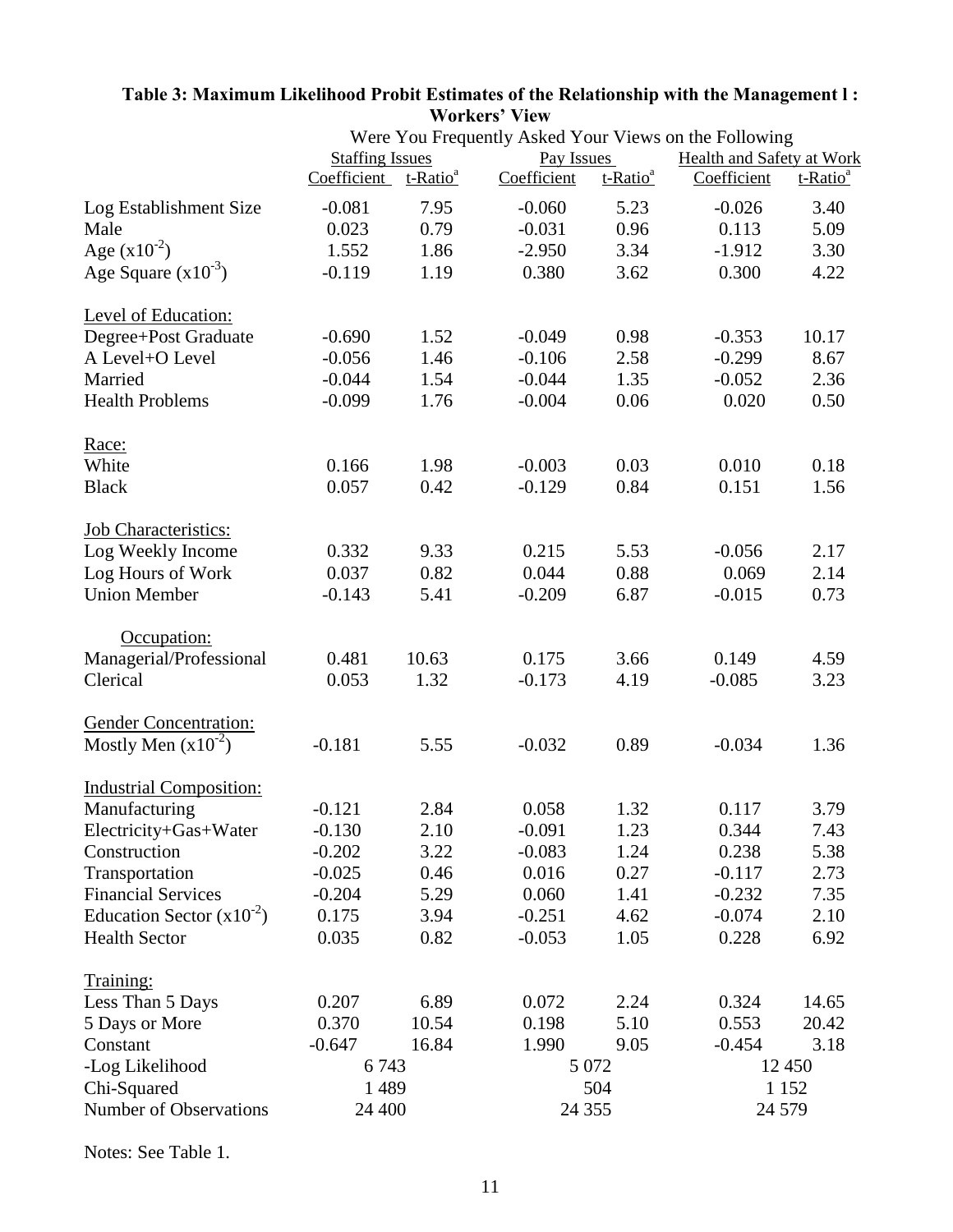|                                |                                  |       |             |                      | Were You Frequently Asked Your Views on the Following |                      |
|--------------------------------|----------------------------------|-------|-------------|----------------------|-------------------------------------------------------|----------------------|
|                                | <b>Staffing Issues</b>           |       | Pay Issues  |                      | <b>Health and Safety at Work</b>                      |                      |
|                                | Coefficient t-Ratio <sup>a</sup> |       | Coefficient | t-Ratio <sup>a</sup> | Coefficient                                           | t-Ratio <sup>a</sup> |
| Log Establishment Size         | $-0.081$                         | 7.95  | $-0.060$    | 5.23                 | $-0.026$                                              | 3.40                 |
| Male                           | 0.023                            | 0.79  | $-0.031$    | 0.96                 | 0.113                                                 | 5.09                 |
| Age $(x10^{-2})$               | 1.552                            | 1.86  | $-2.950$    | 3.34                 | $-1.912$                                              | 3.30                 |
| Age Square $(x10^{-3})$        | $-0.119$                         | 1.19  | 0.380       | 3.62                 | 0.300                                                 | 4.22                 |
| Level of Education:            |                                  |       |             |                      |                                                       |                      |
| Degree+Post Graduate           | $-0.690$                         | 1.52  | $-0.049$    | 0.98                 | $-0.353$                                              | 10.17                |
| A Level+O Level                | $-0.056$                         | 1.46  | $-0.106$    | 2.58                 | $-0.299$                                              | 8.67                 |
| Married                        | $-0.044$                         | 1.54  | $-0.044$    | 1.35                 | $-0.052$                                              | 2.36                 |
| <b>Health Problems</b>         | $-0.099$                         | 1.76  | $-0.004$    | 0.06                 | 0.020                                                 | 0.50                 |
| Race:                          |                                  |       |             |                      |                                                       |                      |
| White                          | 0.166                            | 1.98  | $-0.003$    | 0.03                 | 0.010                                                 | 0.18                 |
| <b>Black</b>                   | 0.057                            | 0.42  | $-0.129$    | 0.84                 | 0.151                                                 | 1.56                 |
| <b>Job Characteristics:</b>    |                                  |       |             |                      |                                                       |                      |
| Log Weekly Income              | 0.332                            | 9.33  | 0.215       | 5.53                 | $-0.056$                                              | 2.17                 |
| Log Hours of Work              | 0.037                            | 0.82  | 0.044       | 0.88                 | 0.069                                                 | 2.14                 |
| <b>Union Member</b>            | $-0.143$                         | 5.41  | $-0.209$    | 6.87                 | $-0.015$                                              | 0.73                 |
| Occupation:                    |                                  |       |             |                      |                                                       |                      |
| Managerial/Professional        | 0.481                            | 10.63 | 0.175       | 3.66                 | 0.149                                                 | 4.59                 |
| Clerical                       | 0.053                            | 1.32  | $-0.173$    | 4.19                 | $-0.085$                                              | 3.23                 |
| <b>Gender Concentration:</b>   |                                  |       |             |                      |                                                       |                      |
| Mostly Men $(x10^{-2})$        | $-0.181$                         | 5.55  | $-0.032$    | 0.89                 | $-0.034$                                              | 1.36                 |
| <b>Industrial Composition:</b> |                                  |       |             |                      |                                                       |                      |
| Manufacturing                  | $-0.121$                         | 2.84  | 0.058       | 1.32                 | 0.117                                                 | 3.79                 |
| Electricity+Gas+Water          | $-0.130$                         | 2.10  | $-0.091$    | 1.23                 | 0.344                                                 | 7.43                 |
| Construction                   | $-0.202$                         | 3.22  | $-0.083$    | 1.24                 | 0.238                                                 | 5.38                 |
| Transportation                 | $-0.025$                         | 0.46  | 0.016       | 0.27                 | $-0.117$                                              | 2.73                 |
| <b>Financial Services</b>      | $-0.204$                         | 5.29  | 0.060       | 1.41                 | $-0.232$                                              | 7.35                 |
| Education Sector $(x10^{-2})$  | 0.175                            | 3.94  | $-0.251$    | 4.62                 | $-0.074$                                              | 2.10                 |
| <b>Health Sector</b>           | 0.035                            | 0.82  | $-0.053$    | 1.05                 | 0.228                                                 | 6.92                 |
| Training:                      |                                  |       |             |                      |                                                       |                      |
| Less Than 5 Days               | 0.207                            | 6.89  | 0.072       | 2.24                 | 0.324                                                 | 14.65                |
| 5 Days or More                 | 0.370                            | 10.54 | 0.198       | 5.10                 | 0.553                                                 | 20.42                |
| Constant                       | $-0.647$                         | 16.84 | 1.990       | 9.05                 | $-0.454$                                              | 3.18                 |
| -Log Likelihood                | 6743                             |       |             | 5 0 7 2              |                                                       | 12 450               |
| Chi-Squared                    | 1 4 8 9                          |       |             | 504                  |                                                       | 1 1 5 2              |
| Number of Observations         | 24 400                           |       | 24 3 5 5    |                      |                                                       | 24 5 7 9             |

### **Table 3: Maximum Likelihood Probit Estimates of the Relationship with the Management l : Workers' View**

Notes: See Table 1.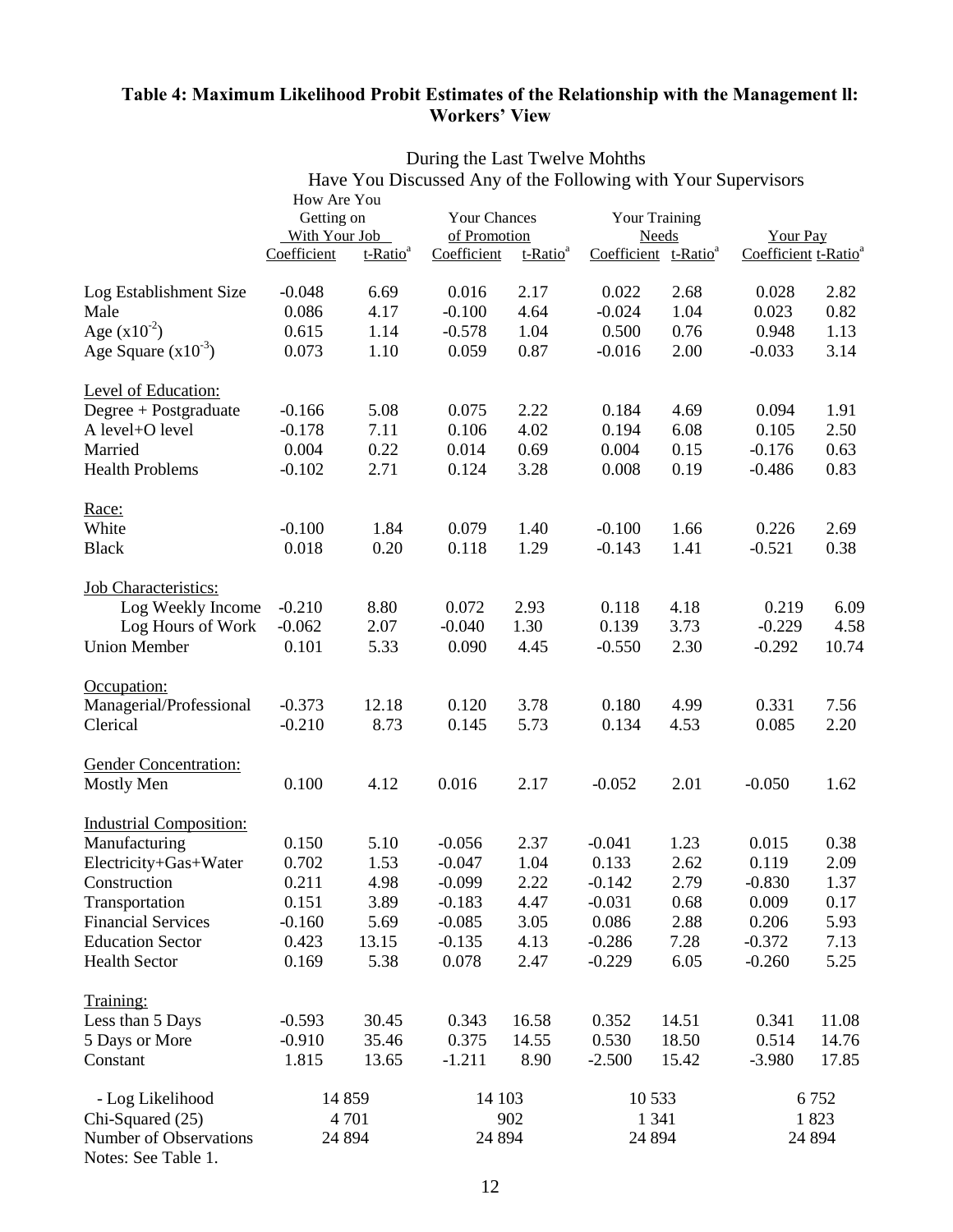## **Table 4: Maximum Likelihood Probit Estimates of the Relationship with the Management ll: Workers' View**

|                                               |                              |                      | Have You Discussed Any of the Following with Your Supervisors |                                     |          |                                                  |                                         |         |  |
|-----------------------------------------------|------------------------------|----------------------|---------------------------------------------------------------|-------------------------------------|----------|--------------------------------------------------|-----------------------------------------|---------|--|
|                                               | How Are You                  |                      |                                                               |                                     |          |                                                  |                                         |         |  |
|                                               | Getting on                   |                      |                                                               | <b>Your Chances</b><br>of Promotion |          |                                                  | <b>Your Training</b><br><b>Your Pay</b> |         |  |
|                                               | With Your Job<br>Coefficient | t-Ratio <sup>a</sup> | Coefficient                                                   | t-Ratio <sup>a</sup>                |          | <b>Needs</b><br>Coefficient t-Ratio <sup>a</sup> | Coefficient t-Ratio <sup>a</sup>        |         |  |
|                                               |                              |                      |                                                               |                                     |          |                                                  |                                         |         |  |
| Log Establishment Size                        | $-0.048$                     | 6.69                 | 0.016                                                         | 2.17                                | 0.022    | 2.68                                             | 0.028                                   | 2.82    |  |
| Male                                          | 0.086                        | 4.17                 | $-0.100$                                                      | 4.64                                | $-0.024$ | 1.04                                             | 0.023                                   | 0.82    |  |
| Age $(x10^{-2})$                              | 0.615                        | 1.14                 | $-0.578$                                                      | 1.04                                | 0.500    | 0.76                                             | 0.948                                   | 1.13    |  |
| Age Square $(x10^{-3})$                       | 0.073                        | 1.10                 | 0.059                                                         | 0.87                                | $-0.016$ | 2.00                                             | $-0.033$                                | 3.14    |  |
| Level of Education:                           |                              |                      |                                                               |                                     |          |                                                  |                                         |         |  |
| Degree + Postgraduate                         | $-0.166$                     | 5.08                 | 0.075                                                         | 2.22                                | 0.184    | 4.69                                             | 0.094                                   | 1.91    |  |
| A level+O level                               | $-0.178$                     | 7.11                 | 0.106                                                         | 4.02                                | 0.194    | 6.08                                             | 0.105                                   | 2.50    |  |
| Married                                       | 0.004                        | 0.22                 | 0.014                                                         | 0.69                                | 0.004    | 0.15                                             | $-0.176$                                | 0.63    |  |
| <b>Health Problems</b>                        | $-0.102$                     | 2.71                 | 0.124                                                         | 3.28                                | 0.008    | 0.19                                             | $-0.486$                                | 0.83    |  |
| Race:                                         |                              |                      |                                                               |                                     |          |                                                  |                                         |         |  |
| White                                         | $-0.100$                     | 1.84                 | 0.079                                                         | 1.40                                | $-0.100$ | 1.66                                             | 0.226                                   | 2.69    |  |
| <b>Black</b>                                  | 0.018                        | 0.20                 | 0.118                                                         | 1.29                                | $-0.143$ | 1.41                                             | $-0.521$                                | 0.38    |  |
| <b>Job Characteristics:</b>                   |                              |                      |                                                               |                                     |          |                                                  |                                         |         |  |
| Log Weekly Income                             | $-0.210$                     | 8.80                 | 0.072                                                         | 2.93                                | 0.118    | 4.18                                             | 0.219                                   | 6.09    |  |
| Log Hours of Work                             | $-0.062$                     | 2.07                 | $-0.040$                                                      | 1.30                                | 0.139    | 3.73                                             | $-0.229$                                | 4.58    |  |
| <b>Union Member</b>                           | 0.101                        | 5.33                 | 0.090                                                         | 4.45                                | $-0.550$ | 2.30                                             | $-0.292$                                | 10.74   |  |
| Occupation:                                   |                              |                      |                                                               |                                     |          |                                                  |                                         |         |  |
| Managerial/Professional                       | $-0.373$                     | 12.18                | 0.120                                                         | 3.78                                | 0.180    | 4.99                                             | 0.331                                   | 7.56    |  |
| Clerical                                      | $-0.210$                     | 8.73                 | 0.145                                                         | 5.73                                | 0.134    | 4.53                                             | 0.085                                   | 2.20    |  |
| <b>Gender Concentration:</b>                  |                              |                      |                                                               |                                     |          |                                                  |                                         |         |  |
| <b>Mostly Men</b>                             | 0.100                        | 4.12                 | 0.016                                                         | 2.17                                | $-0.052$ | 2.01                                             | $-0.050$                                | 1.62    |  |
| <b>Industrial Composition:</b>                |                              |                      |                                                               |                                     |          |                                                  |                                         |         |  |
| Manufacturing                                 | 0.150                        | 5.10                 | $-0.056$                                                      | 2.37                                | $-0.041$ | 1.23                                             | 0.015                                   | 0.38    |  |
| Electricity+Gas+Water                         | 0.702                        | 1.53                 | $-0.047$                                                      | 1.04                                | 0.133    | 2.62                                             | 0.119                                   | 2.09    |  |
| Construction                                  | 0.211                        | 4.98                 | $-0.099$                                                      | 2.22                                | $-0.142$ | 2.79                                             | $-0.830$                                | 1.37    |  |
| Transportation                                | 0.151                        | 3.89                 | $-0.183$                                                      | 4.47                                | $-0.031$ | 0.68                                             | 0.009                                   | 0.17    |  |
| <b>Financial Services</b>                     | $-0.160$                     | 5.69                 | $-0.085$                                                      | 3.05                                | 0.086    | 2.88                                             | 0.206                                   | 5.93    |  |
| <b>Education Sector</b>                       | 0.423                        | 13.15                | $-0.135$                                                      | 4.13                                | $-0.286$ | 7.28                                             | $-0.372$                                | 7.13    |  |
| <b>Health Sector</b>                          | 0.169                        | 5.38                 | 0.078                                                         | 2.47                                | $-0.229$ | 6.05                                             | $-0.260$                                | 5.25    |  |
| Training:                                     |                              |                      |                                                               |                                     |          |                                                  |                                         |         |  |
| Less than 5 Days                              | $-0.593$                     | 30.45                | 0.343                                                         | 16.58                               | 0.352    | 14.51                                            | 0.341                                   | 11.08   |  |
| 5 Days or More                                | $-0.910$                     | 35.46                | 0.375                                                         | 14.55                               | 0.530    | 18.50                                            | 0.514                                   | 14.76   |  |
| Constant                                      | 1.815                        | 13.65                | $-1.211$                                                      | 8.90                                | $-2.500$ | 15.42                                            | $-3.980$                                | 17.85   |  |
| - Log Likelihood                              | 14 859                       |                      | 14 103                                                        |                                     |          | 10 5 33                                          |                                         | 6752    |  |
| Chi-Squared (25)                              |                              | 4 7 0 1              |                                                               | 902                                 |          | 1 3 4 1                                          |                                         | 1823    |  |
| Number of Observations<br>Notes: See Table 1. | 24 8 94                      |                      | 24 8 94                                                       |                                     |          | 24 8 94                                          |                                         | 24 8 94 |  |

During the Last Twelve Mohths Have You Discussed Any of the Following with Your Supervisors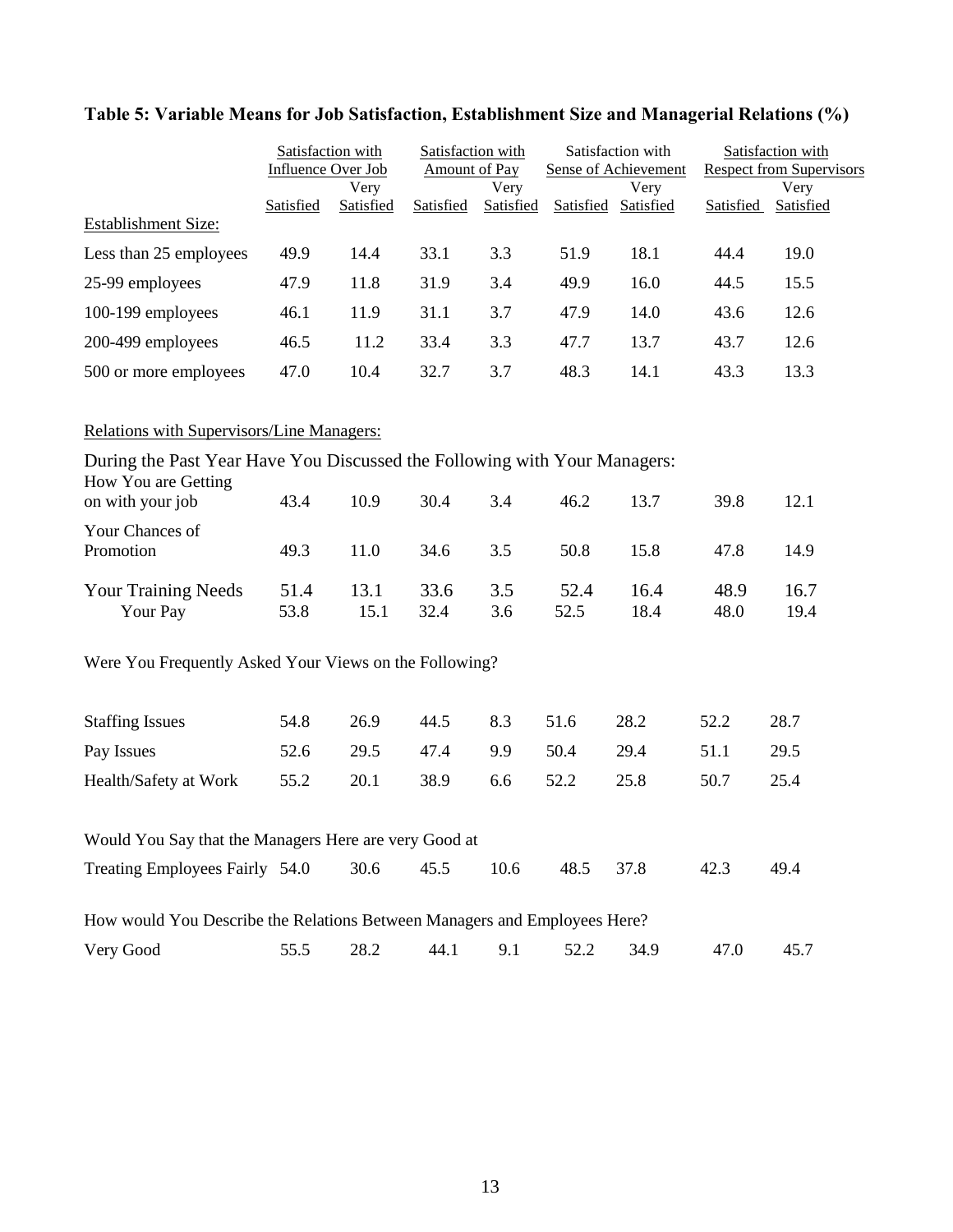# **Table 5: Variable Means for Job Satisfaction, Establishment Size and Managerial Relations (%)**

|                                                                                                  | Satisfaction with<br>Influence Over Job |                   |              | Satisfaction with<br><b>Amount of Pay</b> |              | Satisfaction with<br><b>Sense of Achievement</b> | Satisfaction with<br><b>Respect from Supervisors</b> |                   |
|--------------------------------------------------------------------------------------------------|-----------------------------------------|-------------------|--------------|-------------------------------------------|--------------|--------------------------------------------------|------------------------------------------------------|-------------------|
| <b>Establishment Size:</b>                                                                       | Satisfied                               | Very<br>Satisfied | Satisfied    | Very<br>Satisfied                         |              | Very<br>Satisfied Satisfied                      | Satisfied                                            | Very<br>Satisfied |
|                                                                                                  |                                         |                   |              |                                           |              |                                                  |                                                      |                   |
| Less than 25 employees                                                                           | 49.9                                    | 14.4              | 33.1         | 3.3                                       | 51.9         | 18.1                                             | 44.4                                                 | 19.0              |
| 25-99 employees                                                                                  | 47.9                                    | 11.8              | 31.9         | 3.4                                       | 49.9         | 16.0                                             | 44.5                                                 | 15.5              |
| 100-199 employees                                                                                | 46.1                                    | 11.9              | 31.1         | 3.7                                       | 47.9         | 14.0                                             | 43.6                                                 | 12.6              |
| 200-499 employees                                                                                | 46.5                                    | 11.2              | 33.4         | 3.3                                       | 47.7         | 13.7                                             | 43.7                                                 | 12.6              |
| 500 or more employees                                                                            | 47.0                                    | 10.4              | 32.7         | 3.7                                       | 48.3         | 14.1                                             | 43.3                                                 | 13.3              |
| Relations with Supervisors/Line Managers:                                                        |                                         |                   |              |                                           |              |                                                  |                                                      |                   |
| During the Past Year Have You Discussed the Following with Your Managers:<br>How You are Getting |                                         |                   |              |                                           |              |                                                  |                                                      |                   |
| on with your job                                                                                 | 43.4                                    | 10.9              | 30.4         | 3.4                                       | 46.2         | 13.7                                             | 39.8                                                 | 12.1              |
| Your Chances of<br>Promotion                                                                     | 49.3                                    | 11.0              | 34.6         | 3.5                                       | 50.8         | 15.8                                             | 47.8                                                 | 14.9              |
| <b>Your Training Needs</b><br>Your Pay                                                           | 51.4<br>53.8                            | 13.1<br>15.1      | 33.6<br>32.4 | 3.5<br>3.6                                | 52.4<br>52.5 | 16.4<br>18.4                                     | 48.9<br>48.0                                         | 16.7<br>19.4      |
| Were You Frequently Asked Your Views on the Following?                                           |                                         |                   |              |                                           |              |                                                  |                                                      |                   |
| <b>Staffing Issues</b>                                                                           | 54.8                                    | 26.9              | 44.5         | 8.3                                       | 51.6         | 28.2                                             | 52.2                                                 | 28.7              |
| Pay Issues                                                                                       | 52.6                                    | 29.5              | 47.4         | 9.9                                       | 50.4         | 29.4                                             | 51.1                                                 | 29.5              |
| Health/Safety at Work                                                                            | 55.2                                    | 20.1              | 38.9         | 6.6                                       | 52.2         | 25.8                                             | 50.7                                                 | 25.4              |
| Would You Say that the Managers Here are very Good at                                            |                                         |                   |              |                                           |              |                                                  |                                                      |                   |
| Treating Employees Fairly 54.0                                                                   |                                         | 30.6              | 45.5         | 10.6                                      | 48.5         | 37.8                                             | 42.3                                                 | 49.4              |
| How would You Describe the Relations Between Managers and Employees Here?                        |                                         |                   |              |                                           |              |                                                  |                                                      |                   |
| Very Good                                                                                        | 55.5                                    | 28.2              | 44.1         | 9.1                                       | 52.2         | 34.9                                             | 47.0                                                 | 45.7              |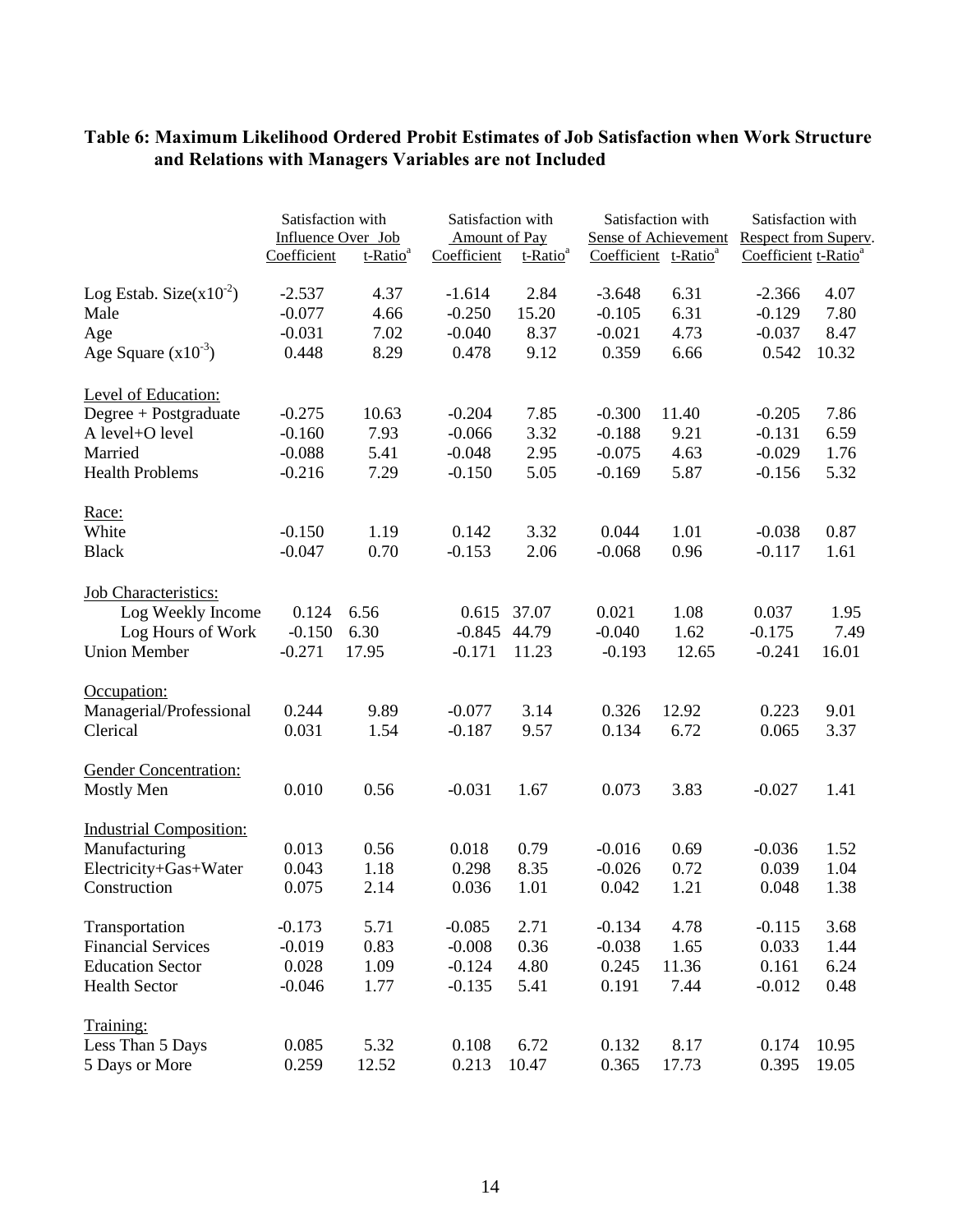|                                        | Satisfaction with<br>Influence Over Job |                      | Satisfaction with<br><b>Amount of Pay</b> |                      | Satisfaction with<br><b>Sense of Achievement</b> |                                  | Satisfaction with<br>Respect from Superv. |              |
|----------------------------------------|-----------------------------------------|----------------------|-------------------------------------------|----------------------|--------------------------------------------------|----------------------------------|-------------------------------------------|--------------|
|                                        | Coefficient                             | t-Ratio <sup>a</sup> | Coefficient                               | t-Ratio <sup>a</sup> |                                                  | Coefficient t-Ratio <sup>a</sup> | Coefficient t-Ratio <sup>a</sup>          |              |
| Log Estab. Size $(x10^{-2})$           | $-2.537$                                | 4.37                 | $-1.614$                                  | 2.84                 | $-3.648$                                         | 6.31                             | $-2.366$                                  | 4.07         |
| Male                                   | $-0.077$                                | 4.66                 | $-0.250$                                  | 15.20                | $-0.105$                                         | 6.31                             | $-0.129$                                  | 7.80         |
| Age                                    | $-0.031$                                | 7.02                 | $-0.040$                                  | 8.37                 | $-0.021$                                         | 4.73                             | $-0.037$                                  | 8.47         |
| Age Square $(x10^{-3})$                | 0.448                                   | 8.29                 | 0.478                                     | 9.12                 | 0.359                                            | 6.66                             | 0.542                                     | 10.32        |
| <b>Level of Education:</b>             |                                         |                      |                                           |                      |                                                  |                                  |                                           |              |
| Degree + Postgraduate                  | $-0.275$                                | 10.63                | $-0.204$                                  | 7.85                 | $-0.300$                                         | 11.40                            | $-0.205$                                  | 7.86         |
| A level+O level                        | $-0.160$                                | 7.93                 | $-0.066$                                  | 3.32                 | $-0.188$                                         | 9.21                             | $-0.131$                                  | 6.59         |
| Married                                | $-0.088$                                | 5.41                 | $-0.048$                                  | 2.95                 | $-0.075$                                         | 4.63                             | $-0.029$                                  | 1.76         |
| <b>Health Problems</b>                 | $-0.216$                                | 7.29                 | $-0.150$                                  | 5.05                 | $-0.169$                                         | 5.87                             | $-0.156$                                  | 5.32         |
| Race:                                  |                                         |                      |                                           |                      |                                                  |                                  |                                           |              |
| White                                  | $-0.150$                                | 1.19                 | 0.142                                     | 3.32                 | 0.044                                            | 1.01                             | $-0.038$                                  | 0.87         |
| <b>Black</b>                           | $-0.047$                                | 0.70                 | $-0.153$                                  | 2.06                 | $-0.068$                                         | 0.96                             | $-0.117$                                  | 1.61         |
| <b>Job Characteristics:</b>            |                                         |                      |                                           |                      |                                                  |                                  |                                           |              |
| Log Weekly Income                      | 0.124                                   | 6.56                 | 0.615                                     | 37.07                | 0.021                                            | 1.08                             | 0.037                                     | 1.95         |
| Log Hours of Work                      | $-0.150$                                | 6.30                 | $-0.845$                                  | 44.79                | $-0.040$                                         | 1.62                             | $-0.175$                                  | 7.49         |
| <b>Union Member</b>                    | $-0.271$                                | 17.95                | $-0.171$                                  | 11.23                | $-0.193$                                         | 12.65                            | $-0.241$                                  | 16.01        |
| Occupation:                            |                                         |                      |                                           |                      |                                                  |                                  |                                           |              |
| Managerial/Professional                | 0.244                                   | 9.89                 | $-0.077$                                  | 3.14                 | 0.326                                            | 12.92                            | 0.223                                     | 9.01         |
| Clerical                               | 0.031                                   | 1.54                 | $-0.187$                                  | 9.57                 | 0.134                                            | 6.72                             | 0.065                                     | 3.37         |
| <b>Gender Concentration:</b>           |                                         |                      |                                           |                      |                                                  |                                  |                                           |              |
| <b>Mostly Men</b>                      | 0.010                                   | 0.56                 | $-0.031$                                  | 1.67                 | 0.073                                            | 3.83                             | $-0.027$                                  | 1.41         |
| <b>Industrial Composition:</b>         |                                         |                      |                                           |                      |                                                  |                                  |                                           |              |
| Manufacturing<br>Electricity+Gas+Water | 0.013<br>0.043                          | 0.56<br>1.18         | 0.018<br>0.298                            | 0.79<br>8.35         | $-0.016$<br>$-0.026$                             | 0.69<br>0.72                     | $-0.036$<br>0.039                         | 1.52<br>1.04 |
|                                        | 0.075                                   |                      |                                           |                      | 0.042                                            | 1.21                             |                                           |              |
| Construction                           |                                         | 2.14                 | 0.036                                     | 1.01                 |                                                  |                                  | 0.048                                     | 1.38         |
| Transportation                         | $-0.173$                                | 5.71                 | $-0.085$                                  | 2.71                 | $-0.134$                                         | 4.78                             | $-0.115$                                  | 3.68         |
| <b>Financial Services</b>              | $-0.019$                                | 0.83                 | $-0.008$                                  | 0.36                 | $-0.038$                                         | 1.65                             | 0.033                                     | 1.44         |
| <b>Education Sector</b>                | 0.028                                   | 1.09                 | $-0.124$                                  | 4.80                 | 0.245                                            | 11.36                            | 0.161                                     | 6.24         |
| <b>Health Sector</b>                   | $-0.046$                                | 1.77                 | $-0.135$                                  | 5.41                 | 0.191                                            | 7.44                             | $-0.012$                                  | 0.48         |
| Training:                              |                                         |                      |                                           |                      |                                                  |                                  |                                           |              |
| Less Than 5 Days                       | 0.085                                   | 5.32                 | 0.108                                     | 6.72                 | 0.132                                            | 8.17                             | 0.174                                     | 10.95        |
| 5 Days or More                         | 0.259                                   | 12.52                | 0.213                                     | 10.47                | 0.365                                            | 17.73                            | 0.395                                     | 19.05        |

# **Table 6: Maximum Likelihood Ordered Probit Estimates of Job Satisfaction when Work Structure and Relations with Managers Variables are not Included**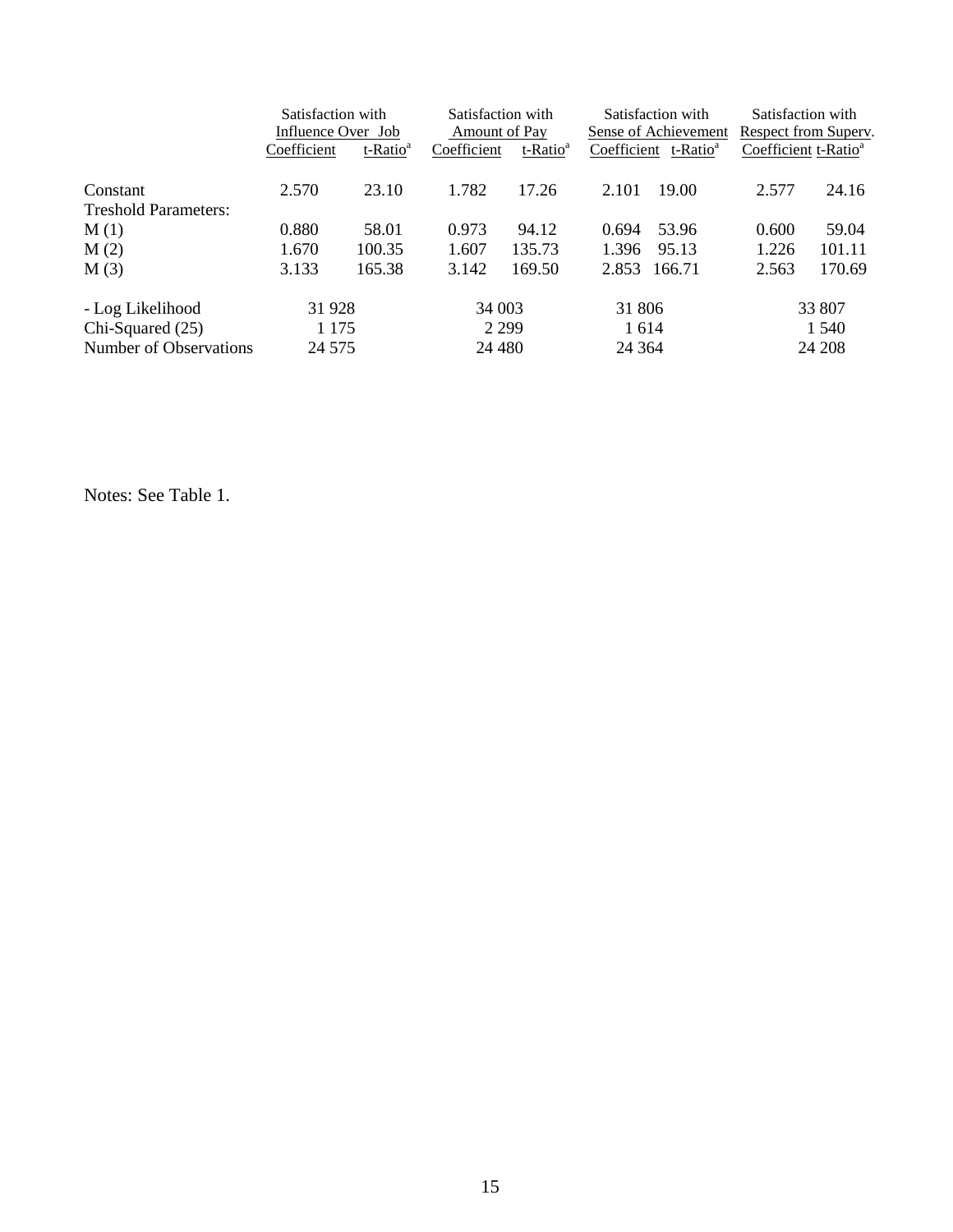|                             | Satisfaction with<br>Influence Over Job<br>Coefficient<br>t-Ratio <sup>a</sup> |          | Satisfaction with<br>Amount of Pay<br>Coefficient | t-Ratio <sup>a</sup> | Satisfaction with<br>Sense of Achievement<br>Coefficient t-Ratio <sup>a</sup> |         | Satisfaction with<br>Respect from Superv.<br>Coefficient t-Ratio <sup>a</sup> |        |  |
|-----------------------------|--------------------------------------------------------------------------------|----------|---------------------------------------------------|----------------------|-------------------------------------------------------------------------------|---------|-------------------------------------------------------------------------------|--------|--|
|                             |                                                                                |          |                                                   |                      |                                                                               |         |                                                                               |        |  |
| Constant                    | 2.570                                                                          | 23.10    | 1.782                                             | 17.26                | 2.101                                                                         | 19.00   | 2.577                                                                         | 24.16  |  |
| <b>Treshold Parameters:</b> |                                                                                |          |                                                   |                      |                                                                               |         |                                                                               |        |  |
| M(1)                        | 0.880                                                                          | 58.01    | 0.973                                             | 94.12                | 0.694                                                                         | 53.96   | 0.600                                                                         | 59.04  |  |
| M(2)                        | 1.670                                                                          | 100.35   | 1.607                                             | 135.73               | 1.396                                                                         | 95.13   | 1.226                                                                         | 101.11 |  |
| M(3)                        | 3.133                                                                          | 165.38   | 3.142                                             | 169.50               | 2.853                                                                         | 166.71  | 2.563                                                                         | 170.69 |  |
| - Log Likelihood            | 31 928                                                                         |          |                                                   | 34 003               |                                                                               | 31 806  |                                                                               | 33 807 |  |
| $Chi-Squared (25)$          | 1 1 7 5                                                                        |          | 2 2 9 9                                           |                      | 1 6 1 4                                                                       |         | 1 540                                                                         |        |  |
| Number of Observations      |                                                                                | 24 5 7 5 |                                                   | 24 4 8 0             |                                                                               | 24 3 64 |                                                                               | 24 208 |  |

Notes: See Table 1.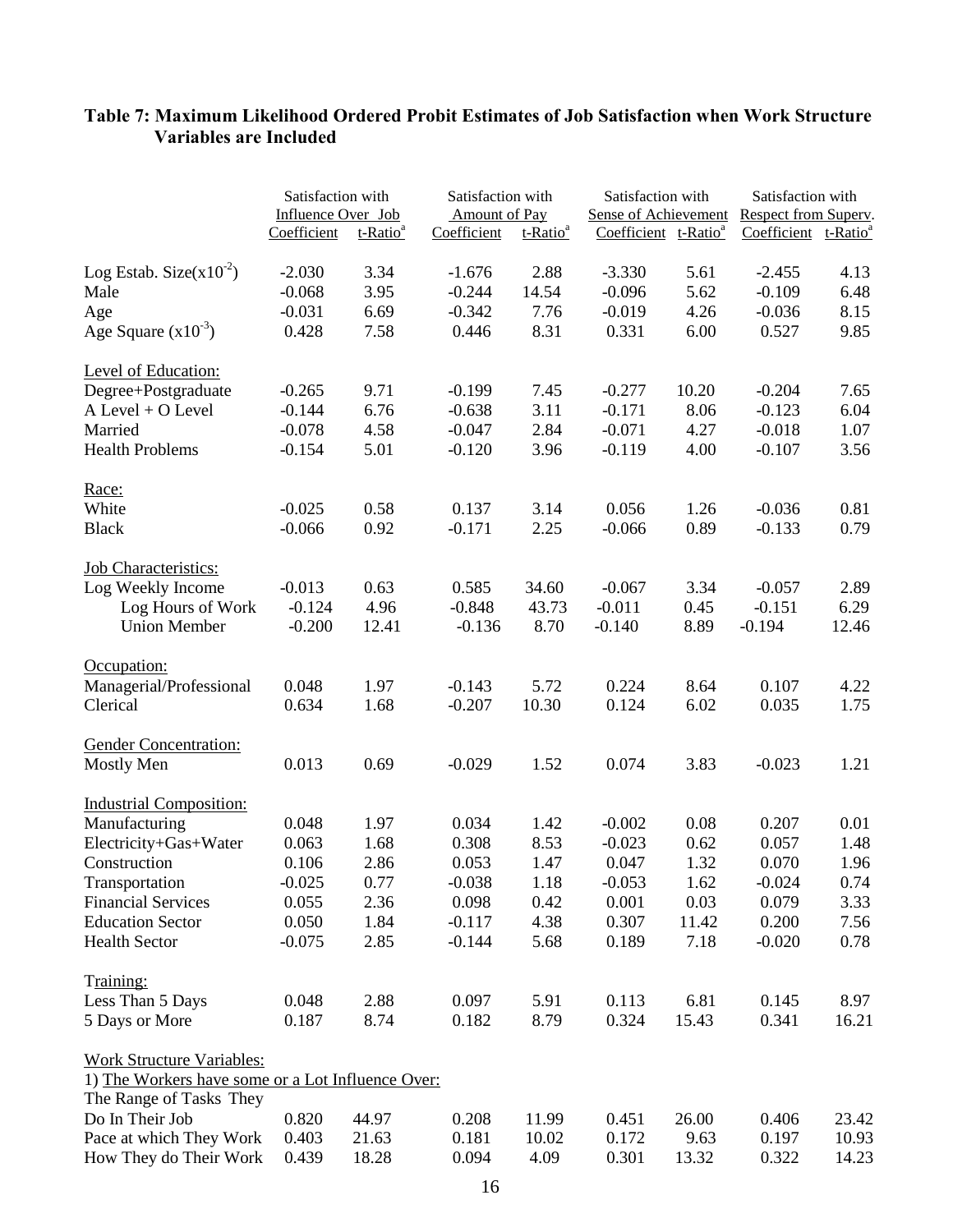|                                                   | Satisfaction with<br>Influence Over Job | Satisfaction with    |             | Satisfaction with<br><b>Sense of Achievement</b><br>Amount of Pay |                                  | Satisfaction with<br>Respect from Superv. |                                  |       |
|---------------------------------------------------|-----------------------------------------|----------------------|-------------|-------------------------------------------------------------------|----------------------------------|-------------------------------------------|----------------------------------|-------|
|                                                   | Coefficient                             | t-Ratio <sup>a</sup> | Coefficient | t-Ratio <sup>a</sup>                                              | Coefficient t-Ratio <sup>a</sup> |                                           | Coefficient t-Ratio <sup>a</sup> |       |
| Log Estab. Size $(x10^{-2})$                      | $-2.030$                                | 3.34                 | $-1.676$    | 2.88                                                              | $-3.330$                         | 5.61                                      | $-2.455$                         | 4.13  |
| Male                                              | $-0.068$                                | 3.95                 | $-0.244$    | 14.54                                                             | $-0.096$                         | 5.62                                      | $-0.109$                         | 6.48  |
| Age                                               | $-0.031$                                | 6.69                 | $-0.342$    | 7.76                                                              | $-0.019$                         | 4.26                                      | $-0.036$                         | 8.15  |
| Age Square $(x10^{-3})$                           | 0.428                                   | 7.58                 | 0.446       | 8.31                                                              | 0.331                            | 6.00                                      | 0.527                            | 9.85  |
| Level of Education:                               |                                         |                      |             |                                                                   |                                  |                                           |                                  |       |
| Degree+Postgraduate                               | $-0.265$                                | 9.71                 | $-0.199$    | 7.45                                                              | $-0.277$                         | 10.20                                     | $-0.204$                         | 7.65  |
| A Level + O Level                                 | $-0.144$                                | 6.76                 | $-0.638$    | 3.11                                                              | $-0.171$                         | 8.06                                      | $-0.123$                         | 6.04  |
| Married                                           | $-0.078$                                | 4.58                 | $-0.047$    | 2.84                                                              | $-0.071$                         | 4.27                                      | $-0.018$                         | 1.07  |
| <b>Health Problems</b>                            | $-0.154$                                | 5.01                 | $-0.120$    | 3.96                                                              | $-0.119$                         | 4.00                                      | $-0.107$                         | 3.56  |
| Race:                                             |                                         |                      |             |                                                                   |                                  |                                           |                                  |       |
| White                                             | $-0.025$                                | 0.58                 | 0.137       | 3.14                                                              | 0.056                            | 1.26                                      | $-0.036$                         | 0.81  |
| <b>Black</b>                                      | $-0.066$                                | 0.92                 | $-0.171$    | 2.25                                                              | $-0.066$                         | 0.89                                      | $-0.133$                         | 0.79  |
| <b>Job Characteristics:</b>                       |                                         |                      |             |                                                                   |                                  |                                           |                                  |       |
| Log Weekly Income                                 | $-0.013$                                | 0.63                 | 0.585       | 34.60                                                             | $-0.067$                         | 3.34                                      | $-0.057$                         | 2.89  |
| Log Hours of Work                                 | $-0.124$                                | 4.96                 | $-0.848$    | 43.73                                                             | $-0.011$                         | 0.45                                      | $-0.151$                         | 6.29  |
| <b>Union Member</b>                               | $-0.200$                                | 12.41                | $-0.136$    | 8.70                                                              | $-0.140$                         | 8.89                                      | $-0.194$                         | 12.46 |
| Occupation:                                       |                                         |                      |             |                                                                   |                                  |                                           |                                  |       |
| Managerial/Professional                           | 0.048                                   | 1.97                 | $-0.143$    | 5.72                                                              | 0.224                            | 8.64                                      | 0.107                            | 4.22  |
| Clerical                                          | 0.634                                   | 1.68                 | $-0.207$    | 10.30                                                             | 0.124                            | 6.02                                      | 0.035                            | 1.75  |
| <b>Gender Concentration:</b>                      |                                         |                      |             |                                                                   |                                  |                                           |                                  |       |
| <b>Mostly Men</b>                                 | 0.013                                   | 0.69                 | $-0.029$    | 1.52                                                              | 0.074                            | 3.83                                      | $-0.023$                         | 1.21  |
| <b>Industrial Composition:</b>                    |                                         |                      |             |                                                                   |                                  |                                           |                                  |       |
| Manufacturing                                     | 0.048                                   | 1.97                 | 0.034       | 1.42                                                              | $-0.002$                         | 0.08                                      | 0.207                            | 0.01  |
| Electricity+Gas+Water                             | 0.063                                   | 1.68                 | 0.308       | 8.53                                                              | $-0.023$                         | 0.62                                      | 0.057                            | 1.48  |
| Construction                                      | 0.106                                   | 2.86                 | 0.053       | 1.47                                                              | 0.047                            | 1.32                                      | 0.070                            | 1.96  |
| Transportation                                    | $-0.025$                                | 0.77                 | $-0.038$    | 1.18                                                              | $-0.053$                         | 1.62                                      | $-0.024$                         | 0.74  |
| <b>Financial Services</b>                         | 0.055                                   | 2.36                 | 0.098       | 0.42                                                              | 0.001                            | 0.03                                      | 0.079                            | 3.33  |
| <b>Education Sector</b>                           | 0.050                                   | 1.84                 | $-0.117$    | 4.38                                                              | 0.307                            | 11.42                                     | 0.200                            | 7.56  |
| <b>Health Sector</b>                              | $-0.075$                                | 2.85                 | $-0.144$    | 5.68                                                              | 0.189                            | 7.18                                      | $-0.020$                         | 0.78  |
| Training:                                         |                                         |                      |             |                                                                   |                                  |                                           |                                  |       |
| Less Than 5 Days                                  | 0.048                                   | 2.88                 | 0.097       | 5.91                                                              | 0.113                            | 6.81                                      | 0.145                            | 8.97  |
| 5 Days or More                                    | 0.187                                   | 8.74                 | 0.182       | 8.79                                                              | 0.324                            | 15.43                                     | 0.341                            | 16.21 |
| <b>Work Structure Variables:</b>                  |                                         |                      |             |                                                                   |                                  |                                           |                                  |       |
| 1) The Workers have some or a Lot Influence Over: |                                         |                      |             |                                                                   |                                  |                                           |                                  |       |
| The Range of Tasks They                           |                                         |                      |             |                                                                   |                                  |                                           |                                  |       |
| Do In Their Job                                   | 0.820                                   | 44.97                | 0.208       | 11.99                                                             | 0.451                            | 26.00                                     | 0.406                            | 23.42 |
| Pace at which They Work                           | 0.403                                   | 21.63                | 0.181       | 10.02                                                             | 0.172                            | 9.63                                      | 0.197                            | 10.93 |
| How They do Their Work                            | 0.439                                   | 18.28                | 0.094       | 4.09                                                              | 0.301                            | 13.32                                     | 0.322                            | 14.23 |

# **Table 7: Maximum Likelihood Ordered Probit Estimates of Job Satisfaction when Work Structure Variables are Included**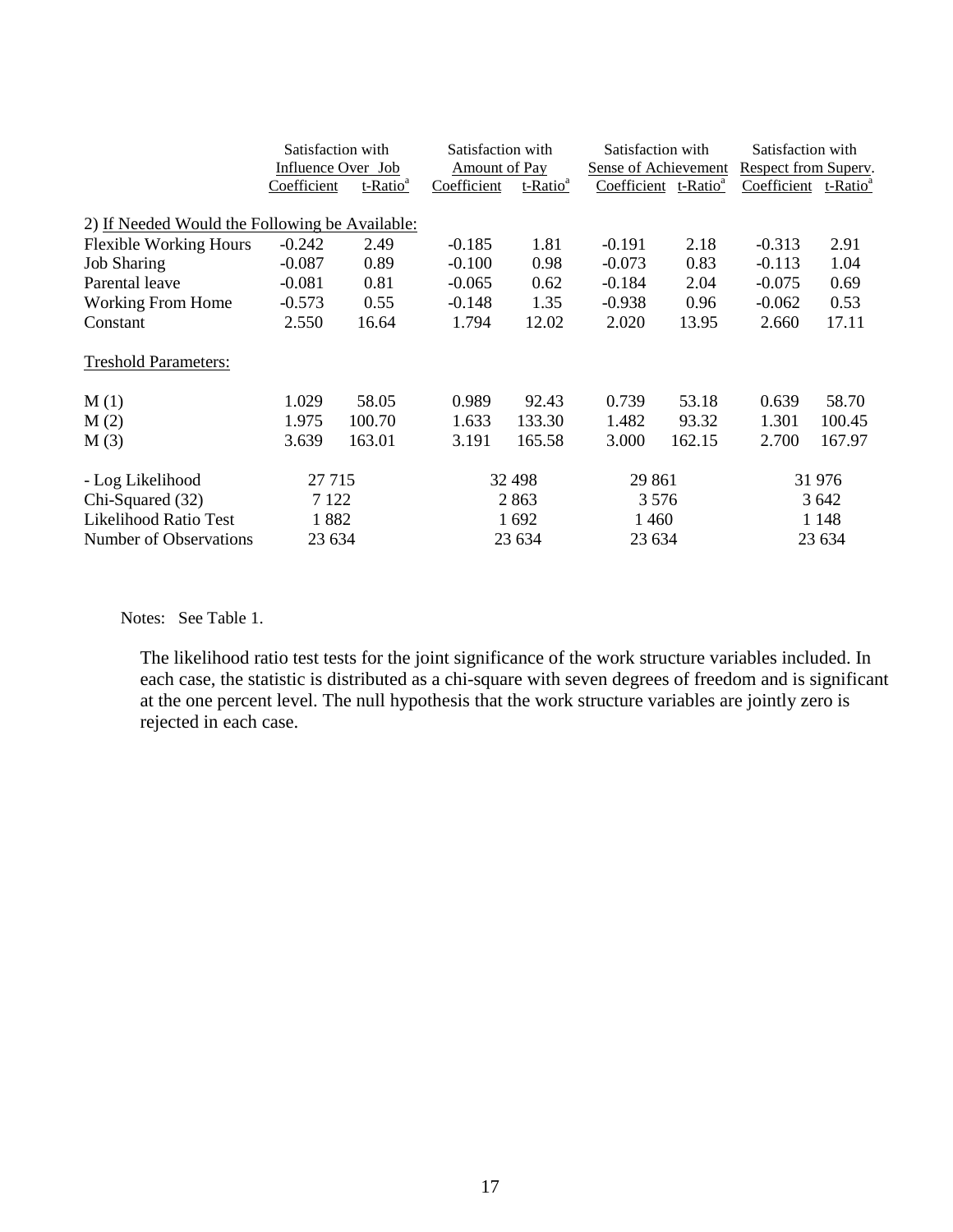|                                                | Satisfaction with         |                      | Satisfaction with    |                      | Satisfaction with                |        | Satisfaction with    |                      |
|------------------------------------------------|---------------------------|----------------------|----------------------|----------------------|----------------------------------|--------|----------------------|----------------------|
|                                                | <b>Influence Over Job</b> |                      | <b>Amount of Pay</b> |                      | <b>Sense of Achievement</b>      |        | Respect from Superv. |                      |
|                                                | Coefficient               | t-Ratio <sup>ª</sup> | Coefficient          | t-Ratio <sup>a</sup> | Coefficient t-Ratio <sup>a</sup> |        | Coefficient          | t-Ratio <sup>a</sup> |
| 2) If Needed Would the Following be Available: |                           |                      |                      |                      |                                  |        |                      |                      |
| <b>Flexible Working Hours</b>                  | $-0.242$                  | 2.49                 | $-0.185$             | 1.81                 | $-0.191$                         | 2.18   | $-0.313$             | 2.91                 |
| <b>Job Sharing</b>                             | $-0.087$                  | 0.89                 | $-0.100$             | 0.98                 | $-0.073$                         | 0.83   | $-0.113$             | 1.04                 |
| Parental leave                                 | $-0.081$                  | 0.81                 | $-0.065$             | 0.62                 | $-0.184$                         | 2.04   | $-0.075$             | 0.69                 |
| <b>Working From Home</b>                       | $-0.573$                  | 0.55                 | $-0.148$             | 1.35                 | $-0.938$                         | 0.96   | $-0.062$             | 0.53                 |
| Constant                                       | 2.550                     | 16.64                | 1.794                | 12.02                | 2.020                            | 13.95  | 2.660                | 17.11                |
| <b>Treshold Parameters:</b>                    |                           |                      |                      |                      |                                  |        |                      |                      |
| M(1)                                           | 1.029                     | 58.05                | 0.989                | 92.43                | 0.739                            | 53.18  | 0.639                | 58.70                |
| M(2)                                           | 1.975                     | 100.70               | 1.633                | 133.30               | 1.482                            | 93.32  | 1.301                | 100.45               |
| M(3)                                           | 3.639                     | 163.01               | 3.191                | 165.58               | 3.000                            | 162.15 | 2.700                | 167.97               |
| - Log Likelihood                               | 27 7 15                   |                      |                      | 32 498               | 29 861                           |        |                      | 31 976               |
| Chi-Squared (32)                               | 7 1 2 2                   |                      |                      | 2863                 | 3 5 7 6                          |        |                      | 3 642                |
| <b>Likelihood Ratio Test</b>                   | 1882                      |                      |                      | 1692                 | 1 4 6 0                          |        |                      | 1 1 4 8              |
| Number of Observations                         | 23 634                    |                      |                      | 23 634               | 23 634                           |        |                      | 23 634               |

Notes: See Table 1.

The likelihood ratio test tests for the joint significance of the work structure variables included. In each case, the statistic is distributed as a chi-square with seven degrees of freedom and is significant at the one percent level. The null hypothesis that the work structure variables are jointly zero is rejected in each case.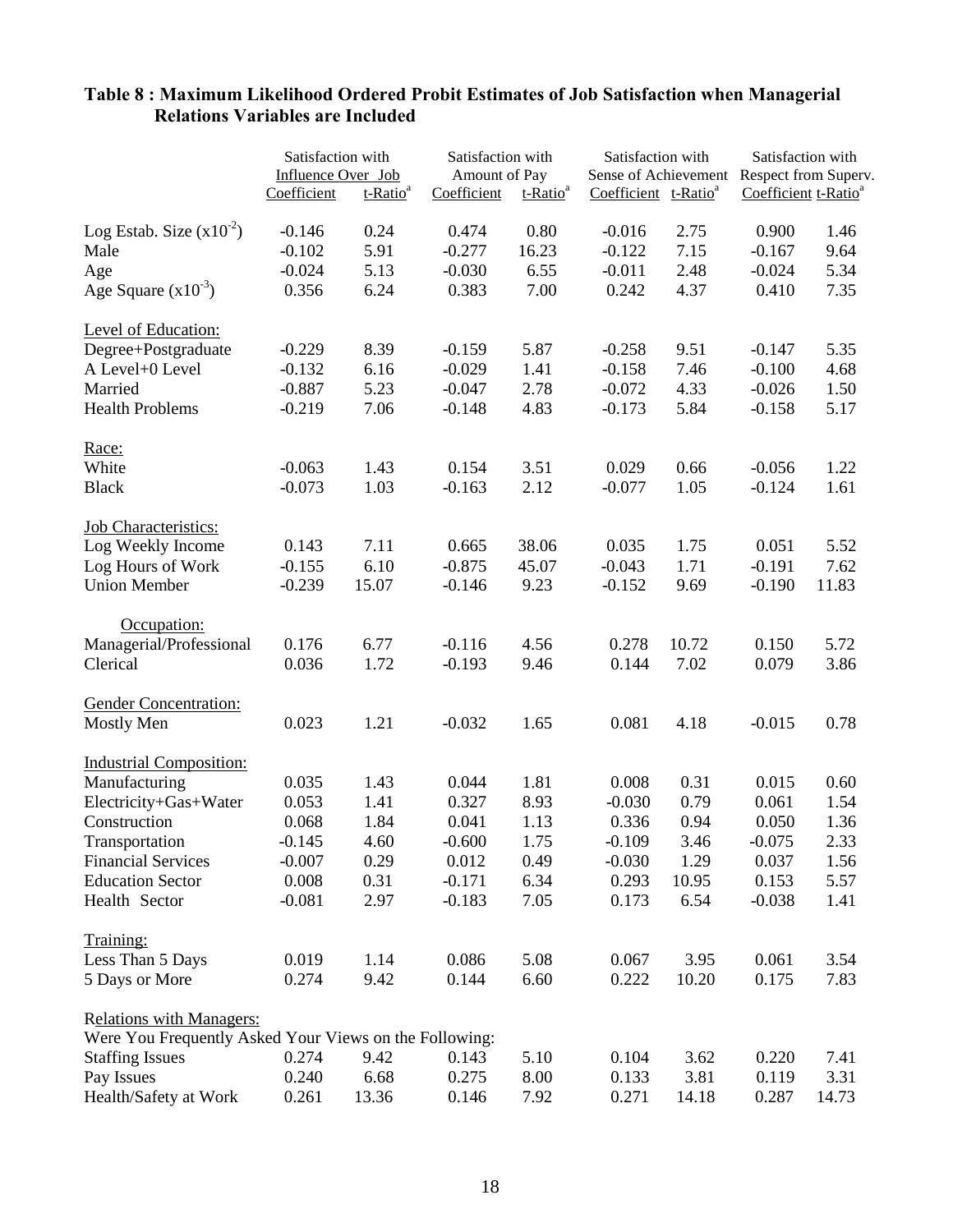|                                                        | Satisfaction with<br>Influence Over Job |                      | Satisfaction with<br>Amount of Pay |                      | Satisfaction with<br>Sense of Achievement |       | Satisfaction with<br>Respect from Superv. |       |
|--------------------------------------------------------|-----------------------------------------|----------------------|------------------------------------|----------------------|-------------------------------------------|-------|-------------------------------------------|-------|
|                                                        | Coefficient                             | t-Ratio <sup>a</sup> | Coefficient                        | t-Ratio <sup>a</sup> | Coefficient t-Ratio <sup>a</sup>          |       | Coefficient t-Ratio <sup>a</sup>          |       |
| Log Estab. Size $(x10^{-2})$                           | $-0.146$                                | 0.24                 | 0.474                              | 0.80                 | $-0.016$                                  | 2.75  | 0.900                                     | 1.46  |
| Male                                                   | $-0.102$                                | 5.91                 | $-0.277$                           | 16.23                | $-0.122$                                  | 7.15  | $-0.167$                                  | 9.64  |
| Age                                                    | $-0.024$                                | 5.13                 | $-0.030$                           | 6.55                 | $-0.011$                                  | 2.48  | $-0.024$                                  | 5.34  |
| Age Square $(x10^{-3})$                                | 0.356                                   | 6.24                 | 0.383                              | 7.00                 | 0.242                                     | 4.37  | 0.410                                     | 7.35  |
| Level of Education:                                    |                                         |                      |                                    |                      |                                           |       |                                           |       |
| Degree+Postgraduate                                    | $-0.229$                                | 8.39                 | $-0.159$                           | 5.87                 | $-0.258$                                  | 9.51  | $-0.147$                                  | 5.35  |
| A Level+0 Level                                        | $-0.132$                                | 6.16                 | $-0.029$                           | 1.41                 | $-0.158$                                  | 7.46  | $-0.100$                                  | 4.68  |
| Married                                                | $-0.887$                                | 5.23                 | $-0.047$                           | 2.78                 | $-0.072$                                  | 4.33  | $-0.026$                                  | 1.50  |
| <b>Health Problems</b>                                 | $-0.219$                                | 7.06                 | $-0.148$                           | 4.83                 | $-0.173$                                  | 5.84  | $-0.158$                                  | 5.17  |
| Race:                                                  |                                         |                      |                                    |                      |                                           |       |                                           |       |
| White                                                  | $-0.063$                                | 1.43                 | 0.154                              | 3.51                 | 0.029                                     | 0.66  | $-0.056$                                  | 1.22  |
| <b>Black</b>                                           | $-0.073$                                | 1.03                 | $-0.163$                           | 2.12                 | $-0.077$                                  | 1.05  | $-0.124$                                  | 1.61  |
| <b>Job Characteristics:</b>                            |                                         |                      |                                    |                      |                                           |       |                                           |       |
| Log Weekly Income                                      | 0.143                                   | 7.11                 | 0.665                              | 38.06                | 0.035                                     | 1.75  | 0.051                                     | 5.52  |
| Log Hours of Work                                      | $-0.155$                                | 6.10                 | $-0.875$                           | 45.07                | $-0.043$                                  | 1.71  | $-0.191$                                  | 7.62  |
| <b>Union Member</b>                                    | $-0.239$                                | 15.07                | $-0.146$                           | 9.23                 | $-0.152$                                  | 9.69  | $-0.190$                                  | 11.83 |
| Occupation:                                            |                                         |                      |                                    |                      |                                           |       |                                           |       |
| Managerial/Professional                                | 0.176                                   | 6.77                 | $-0.116$                           | 4.56                 | 0.278                                     | 10.72 | 0.150                                     | 5.72  |
| Clerical                                               | 0.036                                   | 1.72                 | $-0.193$                           | 9.46                 | 0.144                                     | 7.02  | 0.079                                     | 3.86  |
| <b>Gender Concentration:</b>                           |                                         |                      |                                    |                      |                                           |       |                                           |       |
| <b>Mostly Men</b>                                      | 0.023                                   | 1.21                 | $-0.032$                           | 1.65                 | 0.081                                     | 4.18  | $-0.015$                                  | 0.78  |
| <b>Industrial Composition:</b>                         |                                         |                      |                                    |                      |                                           |       |                                           |       |
| Manufacturing                                          | 0.035                                   | 1.43                 | 0.044                              | 1.81                 | 0.008                                     | 0.31  | 0.015                                     | 0.60  |
| Electricity+Gas+Water                                  | 0.053                                   | 1.41                 | 0.327                              | 8.93                 | $-0.030$                                  | 0.79  | 0.061                                     | 1.54  |
| Construction                                           | 0.068                                   | 1.84                 | 0.041                              | 1.13                 | 0.336                                     | 0.94  | 0.050                                     | 1.36  |
| Transportation                                         | $-0.145$                                | 4.60                 | $-0.600$                           | 1.75                 | $-0.109$                                  | 3.46  | $-0.075$                                  | 2.33  |
| <b>Financial Services</b>                              | $-0.007$                                | 0.29                 | 0.012                              | 0.49                 | $-0.030$                                  | 1.29  | 0.037                                     | 1.56  |
| <b>Education Sector</b>                                | 0.008                                   | 0.31                 | $-0.171$                           | 6.34                 | 0.293                                     | 10.95 | 0.153                                     | 5.57  |
| Health Sector                                          | $-0.081$                                | 2.97                 | $-0.183$                           | 7.05                 | 0.173                                     | 6.54  | $-0.038$                                  | 1.41  |
| Training:                                              |                                         |                      |                                    |                      |                                           |       |                                           |       |
| Less Than 5 Days                                       | 0.019                                   | 1.14                 | 0.086                              | 5.08                 | 0.067                                     | 3.95  | 0.061                                     | 3.54  |
| 5 Days or More                                         | 0.274                                   | 9.42                 | 0.144                              | 6.60                 | 0.222                                     | 10.20 | 0.175                                     | 7.83  |
| <b>Relations with Managers:</b>                        |                                         |                      |                                    |                      |                                           |       |                                           |       |
| Were You Frequently Asked Your Views on the Following: |                                         |                      |                                    |                      |                                           |       |                                           |       |
| <b>Staffing Issues</b>                                 | 0.274                                   | 9.42                 | 0.143                              | 5.10                 | 0.104                                     | 3.62  | 0.220                                     | 7.41  |
| Pay Issues                                             | 0.240                                   | 6.68                 | 0.275                              | 8.00                 | 0.133                                     | 3.81  | 0.119                                     | 3.31  |
| Health/Safety at Work                                  | 0.261                                   | 13.36                | 0.146                              | 7.92                 | 0.271                                     | 14.18 | 0.287                                     | 14.73 |

# **Table 8 : Maximum Likelihood Ordered Probit Estimates of Job Satisfaction when Managerial Relations Variables are Included**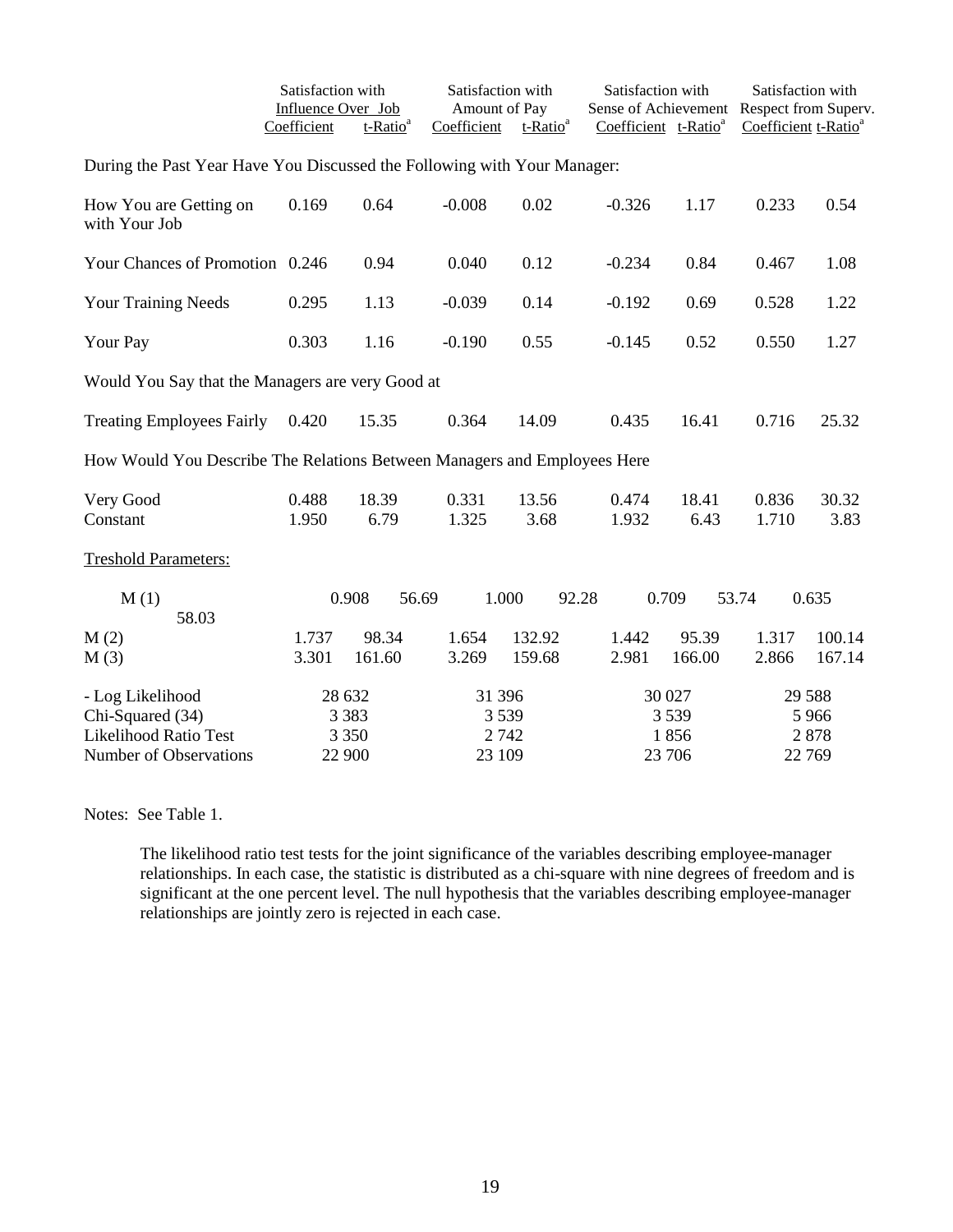|                                                                                         | Satisfaction with<br>Influence Over Job<br>Coefficient | t-Ratio <sup>a</sup>         | Satisfaction with<br>Amount of Pay<br>Coefficient | t-Ratio <sup>a</sup> | Satisfaction with<br>Sense of Achievement<br>Coefficient t-Ratio <sup>a</sup> |                                  | Satisfaction with<br>Respect from Superv.<br>Coefficient t-Ratio <sup>a</sup> |                                      |
|-----------------------------------------------------------------------------------------|--------------------------------------------------------|------------------------------|---------------------------------------------------|----------------------|-------------------------------------------------------------------------------|----------------------------------|-------------------------------------------------------------------------------|--------------------------------------|
| During the Past Year Have You Discussed the Following with Your Manager:                |                                                        |                              |                                                   |                      |                                                                               |                                  |                                                                               |                                      |
| How You are Getting on<br>with Your Job                                                 | 0.169                                                  | 0.64                         | $-0.008$                                          | 0.02                 | $-0.326$                                                                      | 1.17                             | 0.233                                                                         | 0.54                                 |
| Your Chances of Promotion 0.246                                                         |                                                        | 0.94                         | 0.040                                             | 0.12                 | $-0.234$                                                                      | 0.84                             | 0.467                                                                         | 1.08                                 |
| <b>Your Training Needs</b>                                                              | 0.295                                                  | 1.13                         | $-0.039$                                          | 0.14                 | $-0.192$                                                                      | 0.69                             | 0.528                                                                         | 1.22                                 |
| Your Pay                                                                                | 0.303                                                  | 1.16                         | $-0.190$                                          | 0.55                 | $-0.145$                                                                      | 0.52                             | 0.550                                                                         | 1.27                                 |
| Would You Say that the Managers are very Good at                                        |                                                        |                              |                                                   |                      |                                                                               |                                  |                                                                               |                                      |
| <b>Treating Employees Fairly</b>                                                        | 0.420                                                  | 15.35                        | 0.364                                             | 14.09                | 0.435                                                                         | 16.41                            | 0.716                                                                         | 25.32                                |
| How Would You Describe The Relations Between Managers and Employees Here                |                                                        |                              |                                                   |                      |                                                                               |                                  |                                                                               |                                      |
| Very Good<br>Constant                                                                   | 0.488<br>1.950                                         | 18.39<br>6.79                | 0.331<br>1.325                                    | 13.56<br>3.68        | 0.474<br>1.932                                                                | 18.41<br>6.43                    | 0.836<br>1.710                                                                | 30.32<br>3.83                        |
| <b>Treshold Parameters:</b>                                                             |                                                        |                              |                                                   |                      |                                                                               |                                  |                                                                               |                                      |
| M(1)<br>58.03                                                                           |                                                        | 0.908<br>56.69               |                                                   | 1.000                | 92.28                                                                         | 0.709                            | 53.74                                                                         | 0.635                                |
| M(2)<br>M(3)                                                                            | 1.737<br>3.301                                         | 98.34<br>161.60              | 1.654<br>3.269                                    | 132.92<br>159.68     | 1.442<br>2.981                                                                | 95.39<br>166.00                  | 1.317<br>2.866                                                                | 100.14<br>167.14                     |
| - Log Likelihood<br>Chi-Squared (34)<br>Likelihood Ratio Test<br>Number of Observations | 28 632                                                 | 3 3 8 3<br>3 3 5 0<br>22 900 | 31 39 6<br>23 109                                 | 3 5 3 9<br>2 7 4 2   |                                                                               | 30 027<br>3539<br>1856<br>23 706 |                                                                               | 29 5 88<br>5 9 6 6<br>2878<br>22 769 |

Notes: See Table 1.

The likelihood ratio test tests for the joint significance of the variables describing employee-manager relationships. In each case, the statistic is distributed as a chi-square with nine degrees of freedom and is significant at the one percent level. The null hypothesis that the variables describing employee-manager relationships are jointly zero is rejected in each case.